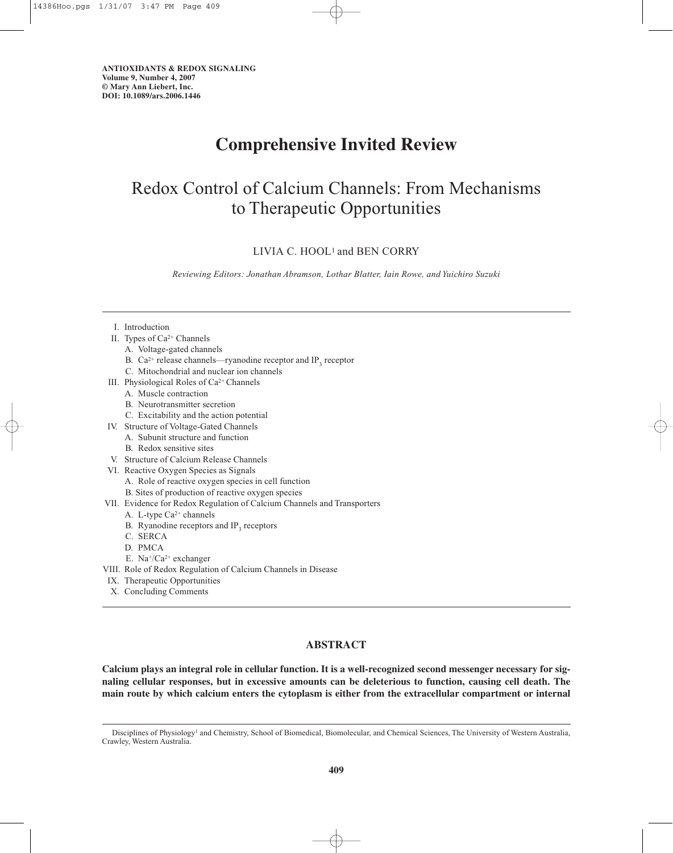# **Comprehensive Invited Review**

# Redox Control of Calcium Channels: From Mechanisms to Therapeutic Opportunities

# LIVIA C. HOOL1 and BEN CORRY

*Reviewing Editors: Jonathan Abramson, Lothar Blatter, Iain Rowe, and Yuichiro Suzuki*

- I. Introduction
- II. Types of  $Ca^{2+}$  Channels
	- A. Voltage-gated channels
	- B.  $Ca^{2+}$  release channels—ryanodine receptor and IP<sub>3</sub> receptor
	- C. Mitochondrial and nuclear ion channels
- III. Physiological Roles of Ca2+ Channels
	- A. Muscle contraction
	- B. Neurotransmitter secretion
	- C. Excitability and the action potential
- IV. Structure of Voltage-Gated Channels
	- A. Subunit structure and function
	- B. Redox sensitive sites
- V. Structure of Calcium Release Channels
- VI. Reactive Oxygen Species as Signals
	- A. Role of reactive oxygen species in cell function
	- B. Sites of production of reactive oxygen species
- VII. Evidence for Redox Regulation of Calcium Channels and Transporters
	- A. L-type Ca<sup>2+</sup> channels
	- B. Ryanodine receptors and  $IP_3$  receptors
	- C. SERCA
	- D. PMCA
- E. Na+/Ca2+ exchanger
- VIII. Role of Redox Regulation of Calcium Channels in Disease
- IX. Therapeutic Opportunities
- X. Concluding Comments

# **ABSTRACT**

**Calcium plays an integral role in cellular function. It is a well-recognized second messenger necessary for signaling cellular responses, but in excessive amounts can be deleterious to function, causing cell death. The main route by which calcium enters the cytoplasm is either from the extracellular compartment or internal**

Disciplines of Physiology<sup>1</sup> and Chemistry, School of Biomedical, Biomolecular, and Chemical Sciences, The University of Western Australia, Crawley, Western Australia.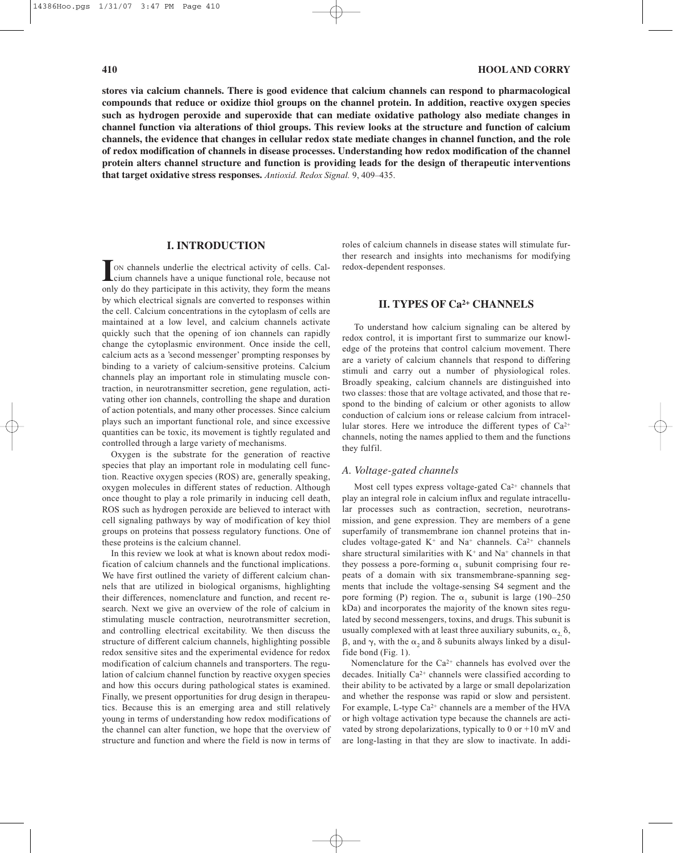**stores via calcium channels. There is good evidence that calcium channels can respond to pharmacological compounds that reduce or oxidize thiol groups on the channel protein. In addition, reactive oxygen species such as hydrogen peroxide and superoxide that can mediate oxidative pathology also mediate changes in channel function via alterations of thiol groups. This review looks at the structure and function of calcium channels, the evidence that changes in cellular redox state mediate changes in channel function, and the role of redox modification of channels in disease processes. Understanding how redox modification of the channel protein alters channel structure and function is providing leads for the design of therapeutic interventions that target oxidative stress responses.** *Antioxid. Redox Signal.* 9, 409–435.

## **I. INTRODUCTION**

**I**ON channels underlie the electrical activity of cells. Cal-<br>cium channels have a unique functional role, because not only do they participate in this activity, they form the means by which electrical signals are converted to responses within the cell. Calcium concentrations in the cytoplasm of cells are maintained at a low level, and calcium channels activate quickly such that the opening of ion channels can rapidly change the cytoplasmic environment. Once inside the cell, calcium acts as a 'second messenger' prompting responses by binding to a variety of calcium-sensitive proteins. Calcium channels play an important role in stimulating muscle contraction, in neurotransmitter secretion, gene regulation, activating other ion channels, controlling the shape and duration of action potentials, and many other processes. Since calcium plays such an important functional role, and since excessive quantities can be toxic, its movement is tightly regulated and controlled through a large variety of mechanisms.

Oxygen is the substrate for the generation of reactive species that play an important role in modulating cell function. Reactive oxygen species (ROS) are, generally speaking, oxygen molecules in different states of reduction. Although once thought to play a role primarily in inducing cell death, ROS such as hydrogen peroxide are believed to interact with cell signaling pathways by way of modification of key thiol groups on proteins that possess regulatory functions. One of these proteins is the calcium channel.

In this review we look at what is known about redox modification of calcium channels and the functional implications. We have first outlined the variety of different calcium channels that are utilized in biological organisms, highlighting their differences, nomenclature and function, and recent research. Next we give an overview of the role of calcium in stimulating muscle contraction, neurotransmitter secretion, and controlling electrical excitability. We then discuss the structure of different calcium channels, highlighting possible redox sensitive sites and the experimental evidence for redox modification of calcium channels and transporters. The regulation of calcium channel function by reactive oxygen species and how this occurs during pathological states is examined. Finally, we present opportunities for drug design in therapeutics. Because this is an emerging area and still relatively young in terms of understanding how redox modifications of the channel can alter function, we hope that the overview of structure and function and where the field is now in terms of roles of calcium channels in disease states will stimulate further research and insights into mechanisms for modifying redox-dependent responses.

## **II. TYPES OF Ca2+ CHANNELS**

To understand how calcium signaling can be altered by redox control, it is important first to summarize our knowledge of the proteins that control calcium movement. There are a variety of calcium channels that respond to differing stimuli and carry out a number of physiological roles. Broadly speaking, calcium channels are distinguished into two classes: those that are voltage activated, and those that respond to the binding of calcium or other agonists to allow conduction of calcium ions or release calcium from intracellular stores. Here we introduce the different types of  $Ca^{2+}$ channels, noting the names applied to them and the functions they fulfil.

#### *A. Voltage-gated channels*

Most cell types express voltage-gated Ca<sup>2+</sup> channels that play an integral role in calcium influx and regulate intracellular processes such as contraction, secretion, neurotransmission, and gene expression. They are members of a gene superfamily of transmembrane ion channel proteins that includes voltage-gated  $K^+$  and  $Na^+$  channels.  $Ca^{2+}$  channels share structural similarities with  $K^+$  and  $Na^+$  channels in that they possess a pore-forming  $\alpha_1$  subunit comprising four repeats of a domain with six transmembrane-spanning segments that include the voltage-sensing S4 segment and the pore forming (P) region. The  $\alpha_1$  subunit is large (190–250) kDa) and incorporates the majority of the known sites regulated by second messengers, toxins, and drugs. This subunit is usually complexed with at least three auxiliary subunits,  $\alpha_{2}^2$ ,  $\delta$ ,  $\beta$ , and  $\gamma$ , with the  $\alpha_2$  and  $\delta$  subunits always linked by a disulfide bond (Fig. 1).

Nomenclature for the Ca2+ channels has evolved over the decades. Initially  $Ca^{2+}$  channels were classified according to their ability to be activated by a large or small depolarization and whether the response was rapid or slow and persistent. For example, L-type Ca<sup>2+</sup> channels are a member of the HVA or high voltage activation type because the channels are activated by strong depolarizations, typically to  $0$  or  $+10$  mV and are long-lasting in that they are slow to inactivate. In addi-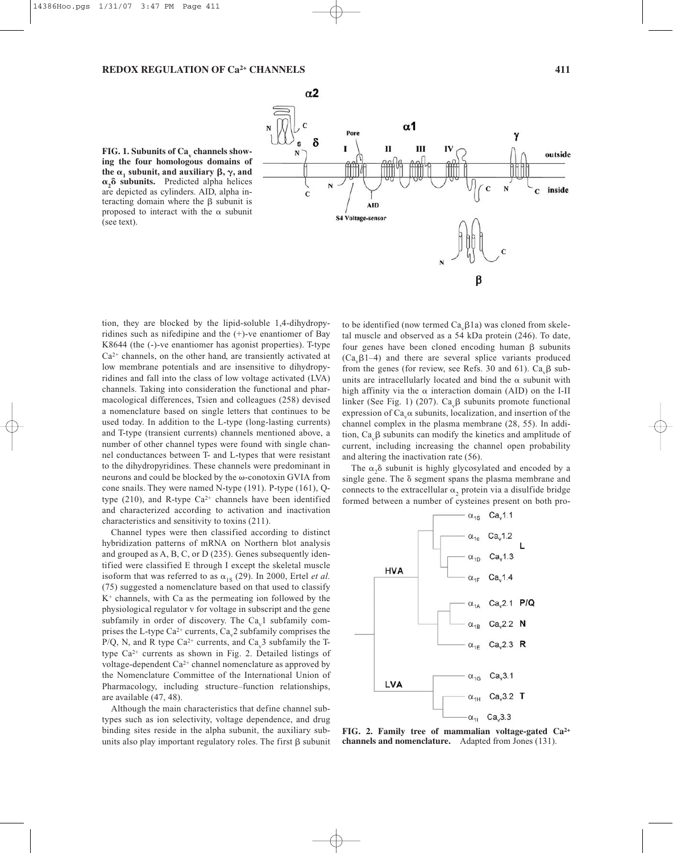

FIG. 1. Subunits of Ca<sub>v</sub> channels show**ing the four homologous domains of the**  $\alpha_1$  **subunit, and auxiliary**  $\beta$ **,**  $\gamma$ **, and**  $\alpha_2$  $\delta$  subunits. Predicted alpha helices are depicted as cylinders. AID, alpha interacting domain where the  $\beta$  subunit is proposed to interact with the  $\alpha$  subunit (see text).

tion, they are blocked by the lipid-soluble 1,4-dihydropyridines such as nifedipine and the (+)-ve enantiomer of Bay K8644 (the (-)-ve enantiomer has agonist properties). T-type  $Ca<sup>2+</sup> channels, on the other hand, are transiently activated at$ low membrane potentials and are insensitive to dihydropyridines and fall into the class of low voltage activated (LVA) channels. Taking into consideration the functional and pharmacological differences, Tsien and colleagues (258) devised a nomenclature based on single letters that continues to be used today. In addition to the L-type (long-lasting currents) and T-type (transient currents) channels mentioned above, a number of other channel types were found with single channel conductances between T- and L-types that were resistant to the dihydropyridines. These channels were predominant in neurons and could be blocked by the  $\omega$ -conotoxin GVIA from cone snails. They were named N-type (191). P-type (161), Qtype  $(210)$ , and R-type Ca<sup>2+</sup> channels have been identified and characterized according to activation and inactivation characteristics and sensitivity to toxins (211).

Channel types were then classified according to distinct hybridization patterns of mRNA on Northern blot analysis and grouped as A, B, C, or D (235). Genes subsequently identified were classified E through I except the skeletal muscle isoform that was referred to as  $\alpha_{1S}$  (29). In 2000, Ertel *et al.* (75) suggested a nomenclature based on that used to classify K+ channels, with Ca as the permeating ion followed by the physiological regulator v for voltage in subscript and the gene subfamily in order of discovery. The  $Ca<sub>v</sub>1$  subfamily comprises the L-type Ca<sup>2+</sup> currents, Ca<sub>2</sub>2 subfamily comprises the P/Q, N, and R type  $Ca^{2+}$  currents, and  $Ca^{3}$  subfamily the Ttype Ca2+ currents as shown in Fig. 2. Detailed listings of voltage-dependent Ca2+ channel nomenclature as approved by the Nomenclature Committee of the International Union of Pharmacology, including structure–function relationships, are available (47, 48).

Although the main characteristics that define channel subtypes such as ion selectivity, voltage dependence, and drug binding sites reside in the alpha subunit, the auxiliary subunits also play important regulatory roles. The first  $\beta$  subunit to be identified (now termed  $Ca_{1}B1a$ ) was cloned from skeletal muscle and observed as a 54 kDa protein (246). To date, four genes have been cloned encoding human  $\beta$  subunits  $(Ca, \beta1-4)$  and there are several splice variants produced from the genes (for review, see Refs. 30 and 61). Ca  $\beta$  subunits are intracellularly located and bind the  $\alpha$  subunit with high affinity via the  $\alpha$  interaction domain (AID) on the I-II linker (See Fig. 1) (207). Ca $\beta$  subunits promote functional expression of  $Ca_{\alpha} \alpha$  subunits, localization, and insertion of the channel complex in the plasma membrane (28, 55). In addition,  $Ca_1B$  subunits can modify the kinetics and amplitude of current, including increasing the channel open probability and altering the inactivation rate (56).

The  $\alpha_2$ 8 subunit is highly glycosylated and encoded by a single gene. The  $\delta$  segment spans the plasma membrane and connects to the extracellular  $\alpha$ , protein via a disulfide bridge formed between a number of cysteines present on both pro-



**FIG. 2. Family tree of mammalian voltage-gated Ca2+ channels and nomenclature.** Adapted from Jones (131).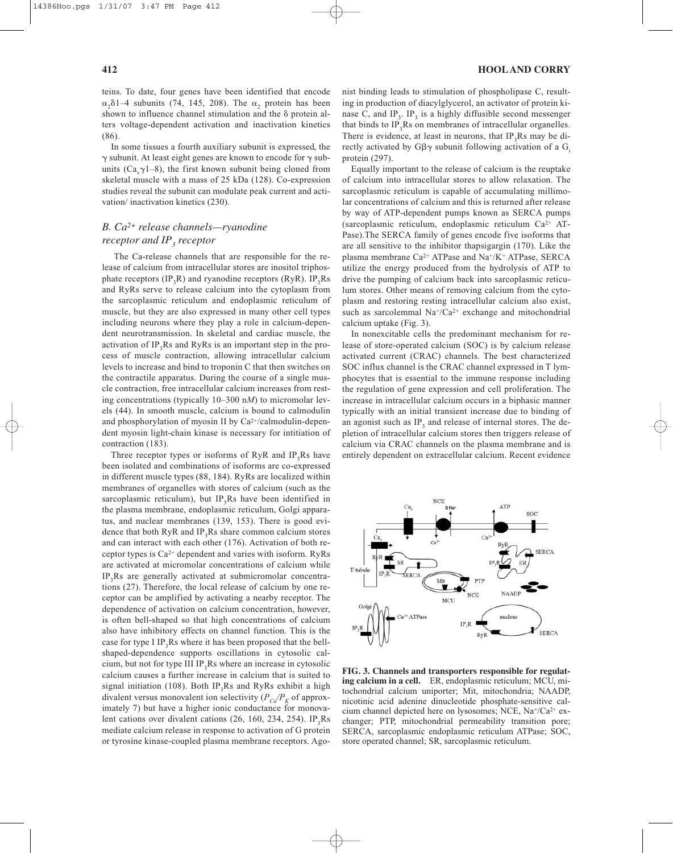teins. To date, four genes have been identified that encode  $\alpha_2$ 81–4 subunits (74, 145, 208). The  $\alpha_2$  protein has been shown to influence channel stimulation and the  $\delta$  protein alters voltage-dependent activation and inactivation kinetics (86).

In some tissues a fourth auxiliary subunit is expressed, the  $\gamma$  subunit. At least eight genes are known to encode for  $\gamma$  subunits (Ca  $\nu$ 1–8), the first known subunit being cloned from skeletal muscle with a mass of 25 kDa (128). Co-expression studies reveal the subunit can modulate peak current and activation/ inactivation kinetics (230).

# *B. Ca2+ release channels—ryanodine receptor and IP<sub>3</sub> receptor*

The Ca-release channels that are responsible for the release of calcium from intracellular stores are inositol triphosphate receptors (IP<sub>3</sub>R) and ryanodine receptors (RyR). IP<sub>3</sub>Rs and RyRs serve to release calcium into the cytoplasm from the sarcoplasmic reticulum and endoplasmic reticulum of muscle, but they are also expressed in many other cell types including neurons where they play a role in calcium-dependent neurotransmission. In skeletal and cardiac muscle, the activation of  $IP_3Rs$  and  $RyRs$  is an important step in the process of muscle contraction, allowing intracellular calcium levels to increase and bind to troponin C that then switches on the contractile apparatus. During the course of a single muscle contraction, free intracellular calcium increases from resting concentrations (typically 10–300 n*M*) to micromolar levels (44). In smooth muscle, calcium is bound to calmodulin and phosphorylation of myosin II by Ca2+/calmodulin-dependent myosin light-chain kinase is necessary for intitiation of contraction (183).

Three receptor types or isoforms of RyR and  $IP_3Rs$  have been isolated and combinations of isoforms are co-expressed in different muscle types (88, 184). RyRs are localized within membranes of organelles with stores of calcium (such as the sarcoplasmic reticulum), but  $IP<sub>3</sub>Rs$  have been identified in the plasma membrane, endoplasmic reticulum, Golgi apparatus, and nuclear membranes (139, 153). There is good evidence that both  $RyR$  and  $IP<sub>3</sub>Rs$  share common calcium stores and can interact with each other (176). Activation of both receptor types is  $Ca^{2+}$  dependent and varies with isoform. RyRs are activated at micromolar concentrations of calcium while  $IP<sub>3</sub>Rs$  are generally activated at submicromolar concentrations (27). Therefore, the local release of calcium by one receptor can be amplified by activating a nearby receptor. The dependence of activation on calcium concentration, however, is often bell-shaped so that high concentrations of calcium also have inhibitory effects on channel function. This is the case for type I IP<sub>3</sub>Rs where it has been proposed that the bellshaped-dependence supports oscillations in cytosolic calcium, but not for type III IP<sub>3</sub>Rs where an increase in cytosolic calcium causes a further increase in calcium that is suited to signal initiation (108). Both IP<sub>3</sub>Rs and RyRs exhibit a high divalent versus monovalent ion selectivity  $(P_C/P_K)$  of approximately 7) but have a higher ionic conductance for monovalent cations over divalent cations (26, 160, 234, 254). IP<sub>3</sub>Rs mediate calcium release in response to activation of G protein or tyrosine kinase-coupled plasma membrane receptors. Agonist binding leads to stimulation of phospholipase C, resulting in production of diacylglycerol, an activator of protein kinase C, and IP<sub>3</sub>. IP<sub>3</sub> is a highly diffusible second messenger that binds to  $IP<sub>3</sub>Rs$  on membranes of intracellular organelles. There is evidence, at least in neurons, that IP<sub>2</sub>Rs may be directly activated by  $G\beta\gamma$  subunit following activation of a G<sub>i</sub> protein (297).

Equally important to the release of calcium is the reuptake of calcium into intracellular stores to allow relaxation. The sarcoplasmic reticulum is capable of accumulating millimolar concentrations of calcium and this is returned after release by way of ATP-dependent pumps known as SERCA pumps (sarcoplasmic reticulum, endoplasmic reticulum Ca2+ AT-Pase).The SERCA family of genes encode five isoforms that are all sensitive to the inhibitor thapsigargin (170). Like the plasma membrane Ca2+ ATPase and Na+/K+ ATPase, SERCA utilize the energy produced from the hydrolysis of ATP to drive the pumping of calcium back into sarcoplasmic reticulum stores. Other means of removing calcium from the cytoplasm and restoring resting intracellular calcium also exist, such as sarcolemmal Na<sup>+</sup>/Ca<sup>2+</sup> exchange and mitochondrial calcium uptake (Fig. 3).

In nonexcitable cells the predominant mechanism for release of store-operated calcium (SOC) is by calcium release activated current (CRAC) channels. The best characterized SOC influx channel is the CRAC channel expressed in T lymphocytes that is essential to the immune response including the regulation of gene expression and cell proliferation. The increase in intracellular calcium occurs in a biphasic manner typically with an initial transient increase due to binding of an agonist such as  $IP_3$  and release of internal stores. The depletion of intracellular calcium stores then triggers release of calcium via CRAC channels on the plasma membrane and is entirely dependent on extracellular calcium. Recent evidence



**FIG. 3. Channels and transporters responsible for regulating calcium in a cell.** ER, endoplasmic reticulum; MCU, mitochondrial calcium uniporter; Mit, mitochondria; NAADP, nicotinic acid adenine dinucleotide phosphate-sensitive calcium channel depicted here on lysosomes; NCE, Na+/Ca2+ exchanger; PTP, mitochondrial permeability transition pore; SERCA, sarcoplasmic endoplasmic reticulum ATPase; SOC, store operated channel; SR, sarcoplasmic reticulum.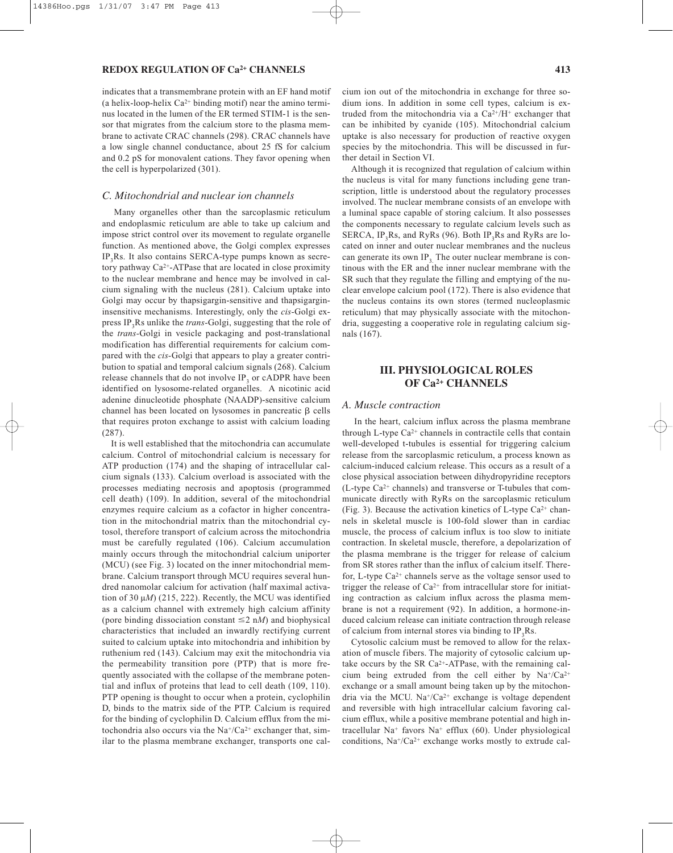indicates that a transmembrane protein with an EF hand motif (a helix-loop-helix  $Ca^{2+}$  binding motif) near the amino terminus located in the lumen of the ER termed STIM-1 is the sensor that migrates from the calcium store to the plasma membrane to activate CRAC channels (298). CRAC channels have a low single channel conductance, about 25 fS for calcium and 0.2 pS for monovalent cations. They favor opening when the cell is hyperpolarized (301).

#### *C. Mitochondrial and nuclear ion channels*

Many organelles other than the sarcoplasmic reticulum and endoplasmic reticulum are able to take up calcium and impose strict control over its movement to regulate organelle function. As mentioned above, the Golgi complex expresses  $IP<sub>3</sub>Rs$ . It also contains SERCA-type pumps known as secretory pathway Ca2+-ATPase that are located in close proximity to the nuclear membrane and hence may be involved in calcium signaling with the nucleus (281). Calcium uptake into Golgi may occur by thapsigargin-sensitive and thapsigargininsensitive mechanisms. Interestingly, only the *cis-*Golgi express IP3Rs unlike the *trans-*Golgi, suggesting that the role of the *trans-*Golgi in vesicle packaging and post-translational modification has differential requirements for calcium compared with the *cis-*Golgi that appears to play a greater contribution to spatial and temporal calcium signals (268). Calcium release channels that do not involve IP, or cADPR have been identified on lysosome-related organelles. A nicotinic acid adenine dinucleotide phosphate (NAADP)-sensitive calcium channel has been located on lysosomes in pancreatic  $\beta$  cells that requires proton exchange to assist with calcium loading (287).

It is well established that the mitochondria can accumulate calcium. Control of mitochondrial calcium is necessary for ATP production (174) and the shaping of intracellular calcium signals (133). Calcium overload is associated with the processes mediating necrosis and apoptosis (programmed cell death) (109). In addition, several of the mitochondrial enzymes require calcium as a cofactor in higher concentration in the mitochondrial matrix than the mitochondrial cytosol, therefore transport of calcium across the mitochondria must be carefully regulated (106). Calcium accumulation mainly occurs through the mitochondrial calcium uniporter (MCU) (see Fig. 3) located on the inner mitochondrial membrane. Calcium transport through MCU requires several hundred nanomolar calcium for activation (half maximal activation of 30 µ*M*) (215, 222). Recently, the MCU was identified as a calcium channel with extremely high calcium affinity (pore binding dissociation constant  $\leq 2$  n*M*) and biophysical characteristics that included an inwardly rectifying current suited to calcium uptake into mitochondria and inhibition by ruthenium red (143). Calcium may exit the mitochondria via the permeability transition pore (PTP) that is more frequently associated with the collapse of the membrane potential and influx of proteins that lead to cell death (109, 110). PTP opening is thought to occur when a protein, cyclophilin D, binds to the matrix side of the PTP. Calcium is required for the binding of cyclophilin D. Calcium efflux from the mitochondria also occurs via the  $Na^{\dagger}/Ca^{2+}$  exchanger that, similar to the plasma membrane exchanger, transports one calcium ion out of the mitochondria in exchange for three sodium ions. In addition in some cell types, calcium is extruded from the mitochondria via a  $Ca^{2+}/H^+$  exchanger that can be inhibited by cyanide (105). Mitochondrial calcium uptake is also necessary for production of reactive oxygen species by the mitochondria. This will be discussed in further detail in Section VI.

Although it is recognized that regulation of calcium within the nucleus is vital for many functions including gene transcription, little is understood about the regulatory processes involved. The nuclear membrane consists of an envelope with a luminal space capable of storing calcium. It also possesses the components necessary to regulate calcium levels such as SERCA, IP<sub>3</sub>Rs, and RyRs (96). Both IP<sub>3</sub>Rs and RyRs are located on inner and outer nuclear membranes and the nucleus can generate its own  $IP<sub>3</sub>$ . The outer nuclear membrane is continous with the ER and the inner nuclear membrane with the SR such that they regulate the filling and emptying of the nuclear envelope calcium pool (172). There is also evidence that the nucleus contains its own stores (termed nucleoplasmic reticulum) that may physically associate with the mitochondria, suggesting a cooperative role in regulating calcium signals (167).

## **III. PHYSIOLOGICAL ROLES OF Ca2+ CHANNELS**

#### *A. Muscle contraction*

In the heart, calcium influx across the plasma membrane through L-type Ca<sup>2+</sup> channels in contractile cells that contain well-developed t-tubules is essential for triggering calcium release from the sarcoplasmic reticulum, a process known as calcium-induced calcium release. This occurs as a result of a close physical association between dihydropyridine receptors (L-type Ca2+ channels) and transverse or T-tubules that communicate directly with RyRs on the sarcoplasmic reticulum (Fig. 3). Because the activation kinetics of L-type  $Ca^{2+}$  channels in skeletal muscle is 100-fold slower than in cardiac muscle, the process of calcium influx is too slow to initiate contraction. In skeletal muscle, therefore, a depolarization of the plasma membrane is the trigger for release of calcium from SR stores rather than the influx of calcium itself. Therefor, L-type  $Ca^{2+}$  channels serve as the voltage sensor used to trigger the release of  $Ca^{2+}$  from intracellular store for initiating contraction as calcium influx across the plasma membrane is not a requirement (92). In addition, a hormone-induced calcium release can initiate contraction through release of calcium from internal stores via binding to IP<sub>2</sub>Rs.

Cytosolic calcium must be removed to allow for the relaxation of muscle fibers. The majority of cytosolic calcium uptake occurs by the SR  $Ca<sup>2+</sup>-ATPase$ , with the remaining calcium being extruded from the cell either by  $Na^{\dagger}/Ca^{2+}$ exchange or a small amount being taken up by the mitochondria via the MCU. Na+/Ca2+ exchange is voltage dependent and reversible with high intracellular calcium favoring calcium efflux, while a positive membrane potential and high intracellular Na<sup>+</sup> favors Na<sup>+</sup> efflux (60). Under physiological conditions, Na+/Ca2+ exchange works mostly to extrude cal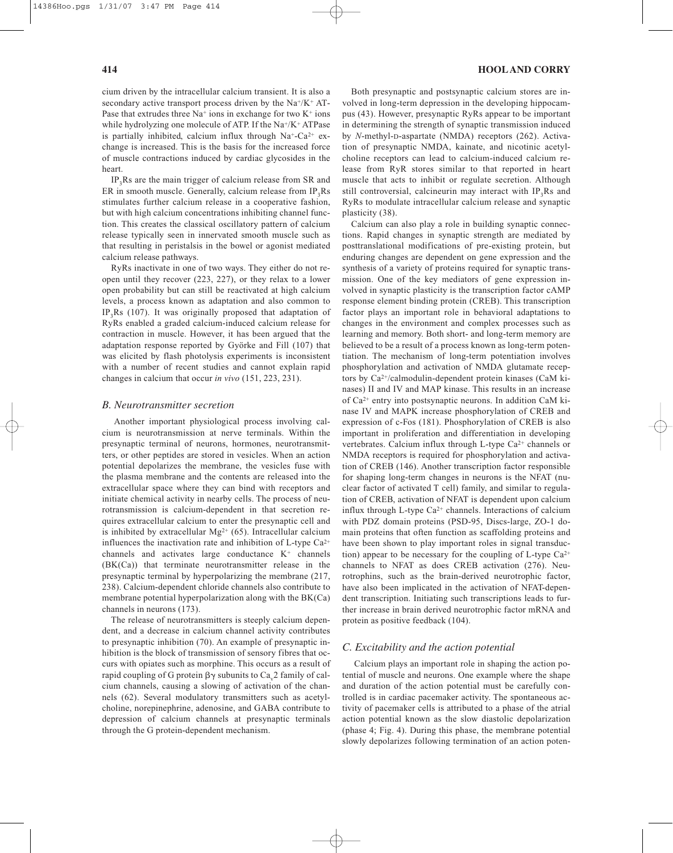cium driven by the intracellular calcium transient. It is also a secondary active transport process driven by the  $Na^+/K^+AT^-$ Pase that extrudes three  $Na<sup>+</sup>$  ions in exchange for two  $K<sup>+</sup>$  ions while hydrolyzing one molecule of ATP. If the Na+/K+ ATPase is partially inhibited, calcium influx through  $Na^+$ -Ca<sup>2+</sup> exchange is increased. This is the basis for the increased force of muscle contractions induced by cardiac glycosides in the heart.

IP<sub>3</sub>Rs are the main trigger of calcium release from SR and  $ER$  in smooth muscle. Generally, calcium release from  $IP_3Rs$ stimulates further calcium release in a cooperative fashion, but with high calcium concentrations inhibiting channel function. This creates the classical oscillatory pattern of calcium release typically seen in innervated smooth muscle such as that resulting in peristalsis in the bowel or agonist mediated calcium release pathways.

RyRs inactivate in one of two ways. They either do not reopen until they recover (223, 227), or they relax to a lower open probability but can still be reactivated at high calcium levels, a process known as adaptation and also common to IP<sub>3</sub>Rs (107). It was originally proposed that adaptation of RyRs enabled a graded calcium-induced calcium release for contraction in muscle. However, it has been argued that the adaptation response reported by Györke and Fill (107) that was elicited by flash photolysis experiments is inconsistent with a number of recent studies and cannot explain rapid changes in calcium that occur *in vivo* (151, 223, 231).

#### *B. Neurotransmitter secretion*

Another important physiological process involving calcium is neurotransmission at nerve terminals. Within the presynaptic terminal of neurons, hormones, neurotransmitters, or other peptides are stored in vesicles. When an action potential depolarizes the membrane, the vesicles fuse with the plasma membrane and the contents are released into the extracellular space where they can bind with receptors and initiate chemical activity in nearby cells. The process of neurotransmission is calcium-dependent in that secretion requires extracellular calcium to enter the presynaptic cell and is inhibited by extracellular  $Mg^{2+}$  (65). Intracellular calcium influences the inactivation rate and inhibition of L-type  $Ca^{2+}$ channels and activates large conductance K+ channels (BK(Ca)) that terminate neurotransmitter release in the presynaptic terminal by hyperpolarizing the membrane (217, 238). Calcium-dependent chloride channels also contribute to membrane potential hyperpolarization along with the BK(Ca) channels in neurons (173).

The release of neurotransmitters is steeply calcium dependent, and a decrease in calcium channel activity contributes to presynaptic inhibition (70). An example of presynaptic inhibition is the block of transmission of sensory fibres that occurs with opiates such as morphine. This occurs as a result of rapid coupling of G protein  $\beta\gamma$  subunits to Ca<sub>2</sub> family of calcium channels, causing a slowing of activation of the channels (62). Several modulatory transmitters such as acetylcholine, norepinephrine, adenosine, and GABA contribute to depression of calcium channels at presynaptic terminals through the G protein-dependent mechanism.

Both presynaptic and postsynaptic calcium stores are involved in long-term depression in the developing hippocampus (43). However, presynaptic RyRs appear to be important in determining the strength of synaptic transmission induced by *N*-methyl-D-aspartate (NMDA) receptors (262). Activation of presynaptic NMDA, kainate, and nicotinic acetylcholine receptors can lead to calcium-induced calcium release from RyR stores similar to that reported in heart muscle that acts to inhibit or regulate secretion. Although still controversial, calcineurin may interact with IP<sub>2</sub>Rs and RyRs to modulate intracellular calcium release and synaptic plasticity (38).

Calcium can also play a role in building synaptic connections. Rapid changes in synaptic strength are mediated by posttranslational modifications of pre-existing protein, but enduring changes are dependent on gene expression and the synthesis of a variety of proteins required for synaptic transmission. One of the key mediators of gene expression involved in synaptic plasticity is the transcription factor cAMP response element binding protein (CREB). This transcription factor plays an important role in behavioral adaptations to changes in the environment and complex processes such as learning and memory. Both short- and long-term memory are believed to be a result of a process known as long-term potentiation. The mechanism of long-term potentiation involves phosphorylation and activation of NMDA glutamate receptors by Ca2+/calmodulin-dependent protein kinases (CaM kinases) II and IV and MAP kinase. This results in an increase of Ca2+ entry into postsynaptic neurons. In addition CaM kinase IV and MAPK increase phosphorylation of CREB and expression of c-Fos (181). Phosphorylation of CREB is also important in proliferation and differentiation in developing vertebrates. Calcium influx through L-type Ca<sup>2+</sup> channels or NMDA receptors is required for phosphorylation and activation of CREB (146). Another transcription factor responsible for shaping long-term changes in neurons is the NFAT (nuclear factor of activated T cell) family, and similar to regulation of CREB, activation of NFAT is dependent upon calcium influx through L-type  $Ca^{2+}$  channels. Interactions of calcium with PDZ domain proteins (PSD-95, Discs-large, ZO-1 domain proteins that often function as scaffolding proteins and have been shown to play important roles in signal transduction) appear to be necessary for the coupling of L-type  $Ca^{2+}$ channels to NFAT as does CREB activation (276). Neurotrophins, such as the brain-derived neurotrophic factor, have also been implicated in the activation of NFAT-dependent transcription. Initiating such transcriptions leads to further increase in brain derived neurotrophic factor mRNA and protein as positive feedback (104).

#### *C. Excitability and the action potential*

Calcium plays an important role in shaping the action potential of muscle and neurons. One example where the shape and duration of the action potential must be carefully controlled is in cardiac pacemaker activity. The spontaneous activity of pacemaker cells is attributed to a phase of the atrial action potential known as the slow diastolic depolarization (phase 4; Fig. 4). During this phase, the membrane potential slowly depolarizes following termination of an action poten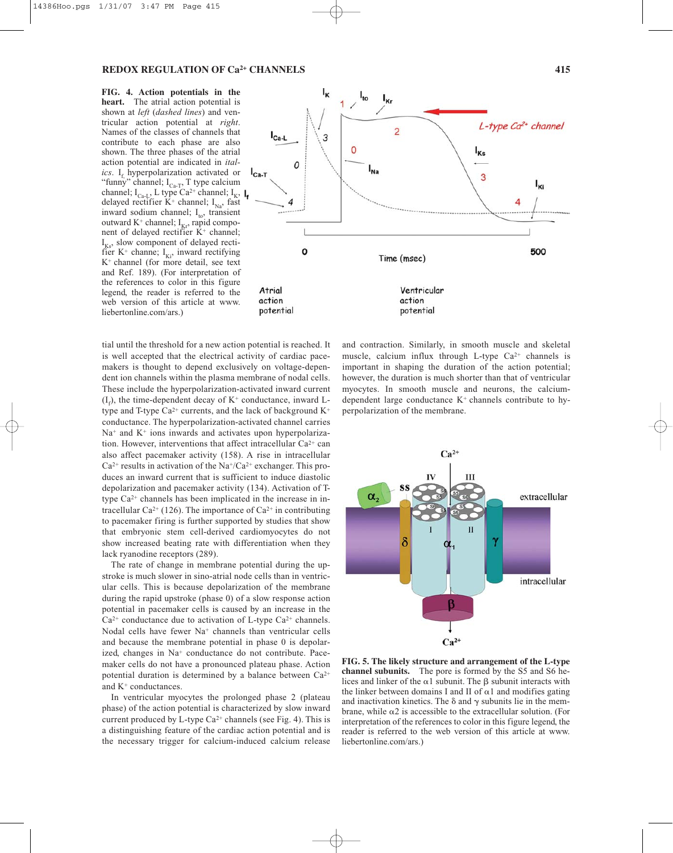**FIG. 4. Action potentials in the heart.** The atrial action potential is shown at *left* (*dashed lines*) and ventricular action potential at *right*. Names of the classes of channels that contribute to each phase are also shown. The three phases of the atrial action potential are indicated in *italics*. I<sub>f</sub> hyperpolarization activated or "funny" channel;  $I_{Ca-T}$ , T type calcium channel;  $I_{Ca-L}$ , L type Ca<sup>2+</sup> channel;  $I_K$ ,  $I_f$ delayed rectifier K<sup>+</sup> channel;  $I_{N_a}$ , fast inward sodium channel;  $I_{\text{to}}$ , transient outward K<sup>+</sup> channel;  $I_{Kr}$ , rapid component of delayed rectifier  $\bar{K}^+$  channel;  $I_{Ks}$ , slow component of delayed rectifier K<sup>+</sup> channe;  $I_{\kappa}$ ; inward rectifying  $K^+$  channel (for more detail, see text and Ref. 189). (For interpretation of the references to color in this figure legend, the reader is referred to the web version of this article at www. liebertonline.com/ars.)



tial until the threshold for a new action potential is reached. It is well accepted that the electrical activity of cardiac pacemakers is thought to depend exclusively on voltage-dependent ion channels within the plasma membrane of nodal cells. These include the hyperpolarization-activated inward current  $(I_f)$ , the time-dependent decay of  $K^+$  conductance, inward Ltype and T-type  $Ca^{2+}$  currents, and the lack of background  $K^+$ conductance. The hyperpolarization-activated channel carries  $Na<sup>+</sup>$  and  $K<sup>+</sup>$  ions inwards and activates upon hyperpolarization. However, interventions that affect intracellular Ca<sup>2+</sup> can also affect pacemaker activity (158). A rise in intracellular  $Ca^{2+}$  results in activation of the Na<sup>+</sup>/Ca<sup>2+</sup> exchanger. This produces an inward current that is sufficient to induce diastolic depolarization and pacemaker activity (134). Activation of Ttype Ca2+ channels has been implicated in the increase in intracellular Ca<sup>2+</sup> (126). The importance of Ca<sup>2+</sup> in contributing to pacemaker firing is further supported by studies that show that embryonic stem cell-derived cardiomyocytes do not show increased beating rate with differentiation when they lack ryanodine receptors (289).

The rate of change in membrane potential during the upstroke is much slower in sino-atrial node cells than in ventricular cells. This is because depolarization of the membrane during the rapid upstroke (phase 0) of a slow response action potential in pacemaker cells is caused by an increase in the  $Ca<sup>2+</sup>$  conductance due to activation of L-type  $Ca<sup>2+</sup>$  channels. Nodal cells have fewer Na<sup>+</sup> channels than ventricular cells and because the membrane potential in phase 0 is depolarized, changes in Na<sup>+</sup> conductance do not contribute. Pacemaker cells do not have a pronounced plateau phase. Action potential duration is determined by a balance between Ca2+ and K+ conductances.

In ventricular myocytes the prolonged phase 2 (plateau phase) of the action potential is characterized by slow inward current produced by L-type  $Ca^{2+}$  channels (see Fig. 4). This is a distinguishing feature of the cardiac action potential and is the necessary trigger for calcium-induced calcium release and contraction. Similarly, in smooth muscle and skeletal muscle, calcium influx through L-type  $Ca^{2+}$  channels is important in shaping the duration of the action potential; however, the duration is much shorter than that of ventricular myocytes. In smooth muscle and neurons, the calciumdependent large conductance  $K^+$  channels contribute to hyperpolarization of the membrane.



**FIG. 5. The likely structure and arrangement of the L-type channel subunits.** The pore is formed by the S5 and S6 helices and linker of the  $\alpha$ 1 subunit. The  $\beta$  subunit interacts with the linker between domains I and II of  $\alpha$ 1 and modifies gating and inactivation kinetics. The  $\delta$  and  $\gamma$  subunits lie in the membrane, while  $\alpha$ 2 is accessible to the extracellular solution. (For interpretation of the references to color in this figure legend, the reader is referred to the web version of this article at www. liebertonline.com/ars.)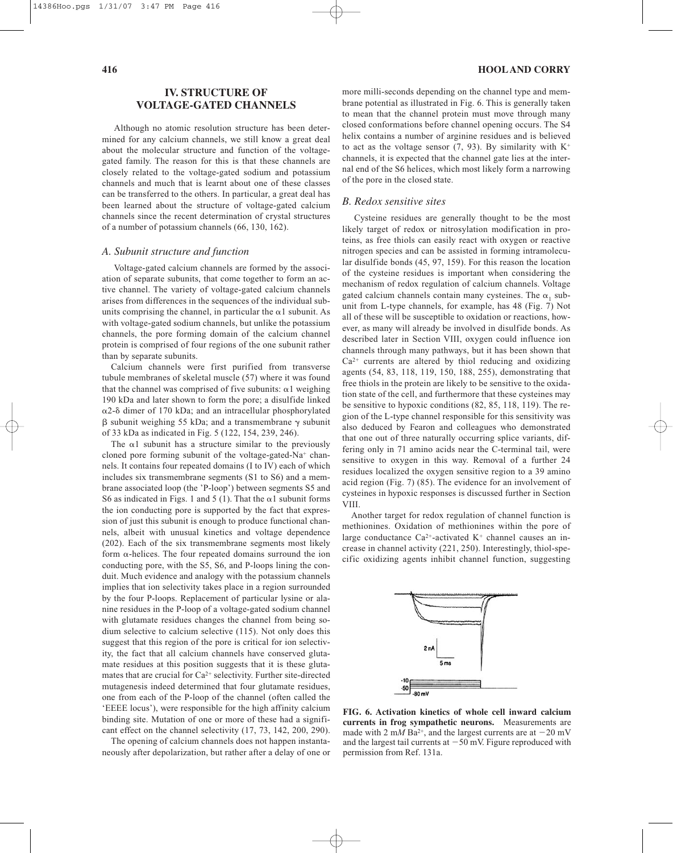## **IV. STRUCTURE OF VOLTAGE-GATED CHANNELS**

Although no atomic resolution structure has been determined for any calcium channels, we still know a great deal about the molecular structure and function of the voltagegated family. The reason for this is that these channels are closely related to the voltage-gated sodium and potassium channels and much that is learnt about one of these classes can be transferred to the others. In particular, a great deal has been learned about the structure of voltage-gated calcium channels since the recent determination of crystal structures of a number of potassium channels (66, 130, 162).

#### *A. Subunit structure and function*

Voltage-gated calcium channels are formed by the association of separate subunits, that come together to form an active channel. The variety of voltage-gated calcium channels arises from differences in the sequences of the individual subunits comprising the channel, in particular the  $\alpha$ 1 subunit. As with voltage-gated sodium channels, but unlike the potassium channels, the pore forming domain of the calcium channel protein is comprised of four regions of the one subunit rather than by separate subunits.

Calcium channels were first purified from transverse tubule membranes of skeletal muscle (57) where it was found that the channel was comprised of five subunits:  $\alpha$ 1 weighing 190 kDa and later shown to form the pore; a disulfide linked  $\alpha$ 2- $\delta$  dimer of 170 kDa; and an intracellular phosphorylated  $\beta$  subunit weighing 55 kDa; and a transmembrane  $\gamma$  subunit of 33 kDa as indicated in Fig. 5 (122, 154, 239, 246).

The  $\alpha$ 1 subunit has a structure similar to the previously cloned pore forming subunit of the voltage-gated-Na+ channels. It contains four repeated domains (I to IV) each of which includes six transmembrane segments (S1 to S6) and a membrane associated loop (the 'P-loop') between segments S5 and S6 as indicated in Figs. 1 and 5 (1). That the  $\alpha$ 1 subunit forms the ion conducting pore is supported by the fact that expression of just this subunit is enough to produce functional channels, albeit with unusual kinetics and voltage dependence (202). Each of the six transmembrane segments most likely form  $\alpha$ -helices. The four repeated domains surround the ion conducting pore, with the S5, S6, and P-loops lining the conduit. Much evidence and analogy with the potassium channels implies that ion selectivity takes place in a region surrounded by the four P-loops. Replacement of particular lysine or alanine residues in the P-loop of a voltage-gated sodium channel with glutamate residues changes the channel from being sodium selective to calcium selective (115). Not only does this suggest that this region of the pore is critical for ion selectivity, the fact that all calcium channels have conserved glutamate residues at this position suggests that it is these glutamates that are crucial for Ca2+ selectivity. Further site-directed mutagenesis indeed determined that four glutamate residues, one from each of the P-loop of the channel (often called the 'EEEE locus'), were responsible for the high affinity calcium binding site. Mutation of one or more of these had a significant effect on the channel selectivity (17, 73, 142, 200, 290).

The opening of calcium channels does not happen instantaneously after depolarization, but rather after a delay of one or more milli-seconds depending on the channel type and membrane potential as illustrated in Fig. 6. This is generally taken to mean that the channel protein must move through many closed conformations before channel opening occurs. The S4 helix contains a number of arginine residues and is believed to act as the voltage sensor  $(7, 93)$ . By similarity with  $K^+$ channels, it is expected that the channel gate lies at the internal end of the S6 helices, which most likely form a narrowing of the pore in the closed state.

#### *B. Redox sensitive sites*

Cysteine residues are generally thought to be the most likely target of redox or nitrosylation modification in proteins, as free thiols can easily react with oxygen or reactive nitrogen species and can be assisted in forming intramolecular disulfide bonds (45, 97, 159). For this reason the location of the cysteine residues is important when considering the mechanism of redox regulation of calcium channels. Voltage gated calcium channels contain many cysteines. The  $\alpha$ , subunit from L-type channels, for example, has 48 (Fig. 7) Not all of these will be susceptible to oxidation or reactions, however, as many will already be involved in disulfide bonds. As described later in Section VIII, oxygen could influence ion channels through many pathways, but it has been shown that  $Ca<sup>2+</sup>$  currents are altered by thiol reducing and oxidizing agents (54, 83, 118, 119, 150, 188, 255), demonstrating that free thiols in the protein are likely to be sensitive to the oxidation state of the cell, and furthermore that these cysteines may be sensitive to hypoxic conditions (82, 85, 118, 119). The region of the L-type channel responsible for this sensitivity was also deduced by Fearon and colleagues who demonstrated that one out of three naturally occurring splice variants, differing only in 71 amino acids near the C-terminal tail, were sensitive to oxygen in this way. Removal of a further 24 residues localized the oxygen sensitive region to a 39 amino acid region (Fig. 7) (85). The evidence for an involvement of cysteines in hypoxic responses is discussed further in Section VIII.

Another target for redox regulation of channel function is methionines. Oxidation of methionines within the pore of large conductance  $Ca^{2+}$ -activated K<sup>+</sup> channel causes an increase in channel activity (221, 250). Interestingly, thiol-specific oxidizing agents inhibit channel function, suggesting



**FIG. 6. Activation kinetics of whole cell inward calcium currents in frog sympathetic neurons.** Measurements are made with 2 m*M* Ba<sup>2+</sup>, and the largest currents are at  $-20$  mV and the largest tail currents at  $-50$  mV. Figure reproduced with permission from Ref. 131a.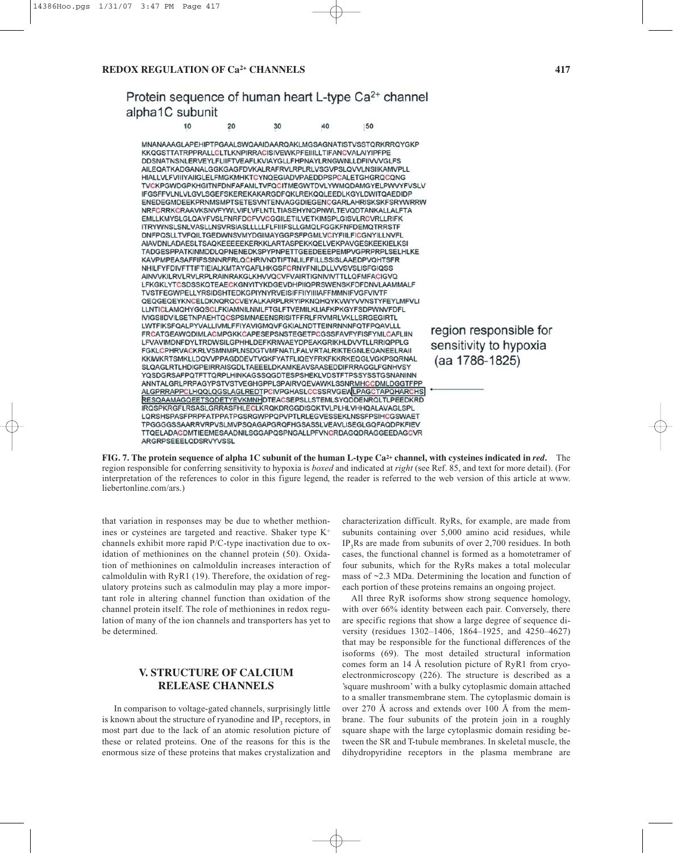

**FIG. 7. The protein sequence of alpha 1C subunit of the human L-type Ca2+ channel, with cysteines indicated in** *red***.** The region responsible for conferring sensitivity to hypoxia is *boxed* and indicated at *right* (see Ref. 85, and text for more detail). (For interpretation of the references to color in this figure legend, the reader is referred to the web version of this article at www. liebertonline.com/ars.)

that variation in responses may be due to whether methionines or cysteines are targeted and reactive. Shaker type K+ channels exhibit more rapid P/C-type inactivation due to oxidation of methionines on the channel protein (50). Oxidation of methionines on calmoldulin increases interaction of calmoldulin with RyR1 (19). Therefore, the oxidation of regulatory proteins such as calmodulin may play a more important role in altering channel function than oxidation of the channel protein itself. The role of methionines in redox regulation of many of the ion channels and transporters has yet to be determined.

## **V. STRUCTURE OF CALCIUM RELEASE CHANNELS**

In comparison to voltage-gated channels, surprisingly little is known about the structure of ryanodine and  $IP_3$  receptors, in most part due to the lack of an atomic resolution picture of these or related proteins. One of the reasons for this is the enormous size of these proteins that makes crystalization and characterization difficult. RyRs, for example, are made from subunits containing over 5,000 amino acid residues, while IP<sub>3</sub>Rs are made from subunits of over 2,700 residues. In both cases, the functional channel is formed as a homotetramer of four subunits, which for the RyRs makes a total molecular mass of ~2.3 MDa. Determining the location and function of each portion of these proteins remains an ongoing project.

All three RyR isoforms show strong sequence homology, with over 66% identity between each pair. Conversely, there are specific regions that show a large degree of sequence diversity (residues 1302–1406, 1864–1925, and 4250–4627) that may be responsible for the functional differences of the isoforms (69). The most detailed structural information comes form an 14 Å resolution picture of RyR1 from cryoelectronmicroscopy (226). The structure is described as a 'square mushroom' with a bulky cytoplasmic domain attached to a smaller transmembrane stem. The cytoplasmic domain is over 270 Å across and extends over 100 Å from the membrane. The four subunits of the protein join in a roughly square shape with the large cytoplasmic domain residing between the SR and T-tubule membranes. In skeletal muscle, the dihydropyridine receptors in the plasma membrane are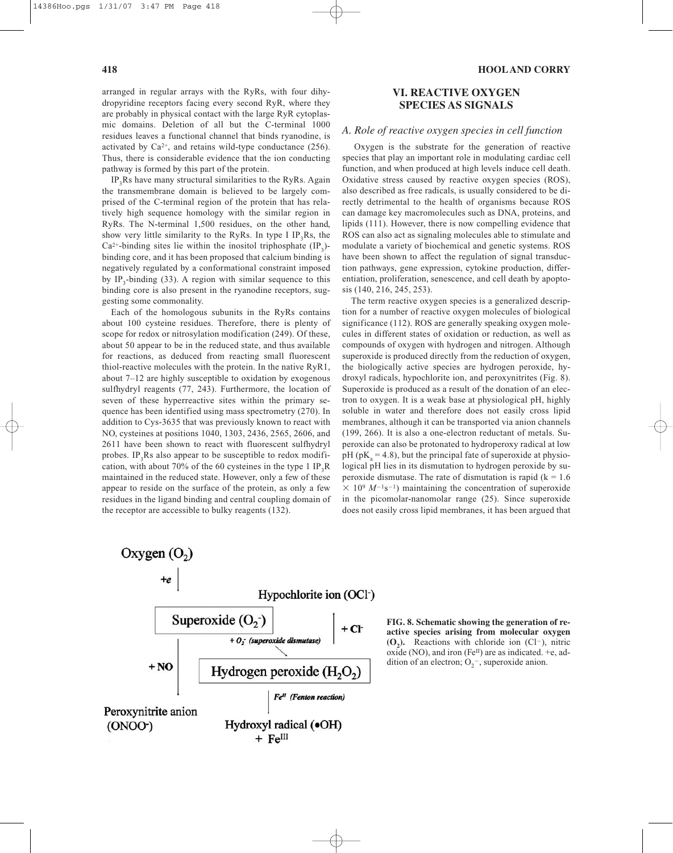arranged in regular arrays with the RyRs, with four dihydropyridine receptors facing every second RyR, where they are probably in physical contact with the large RyR cytoplasmic domains. Deletion of all but the C-terminal 1000 residues leaves a functional channel that binds ryanodine, is activated by  $Ca^{2+}$ , and retains wild-type conductance (256). Thus, there is considerable evidence that the ion conducting pathway is formed by this part of the protein.

IP<sub>3</sub>Rs have many structural similarities to the RyRs. Again the transmembrane domain is believed to be largely comprised of the C-terminal region of the protein that has relatively high sequence homology with the similar region in RyRs. The N-terminal 1,500 residues, on the other hand, show very little similarity to the RyRs. In type I IP, Rs, the  $Ca^{2+}$ -binding sites lie within the inositol triphosphate (IP<sub>3</sub>)binding core, and it has been proposed that calcium binding is negatively regulated by a conformational constraint imposed by  $IP_3$ -binding (33). A region with similar sequence to this binding core is also present in the ryanodine receptors, suggesting some commonality.

Each of the homologous subunits in the RyRs contains about 100 cysteine residues. Therefore, there is plenty of scope for redox or nitrosylation modification (249). Of these, about 50 appear to be in the reduced state, and thus available for reactions, as deduced from reacting small fluorescent thiol-reactive molecules with the protein. In the native RyR1, about 7–12 are highly susceptible to oxidation by exogenous sulfhydryl reagents (77, 243). Furthermore, the location of seven of these hyperreactive sites within the primary sequence has been identified using mass spectrometry (270). In addition to Cys-3635 that was previously known to react with NO, cysteines at positions 1040, 1303, 2436, 2565, 2606, and 2611 have been shown to react with fluorescent sulfhydryl probes. IP<sub>3</sub>Rs also appear to be susceptible to redox modification, with about  $70\%$  of the 60 cysteines in the type 1 IP<sub>3</sub>R maintained in the reduced state. However, only a few of these appear to reside on the surface of the protein, as only a few residues in the ligand binding and central coupling domain of the receptor are accessible to bulky reagents (132).

## **VI. REACTIVE OXYGEN SPECIES AS SIGNALS**

#### *A. Role of reactive oxygen species in cell function*

Oxygen is the substrate for the generation of reactive species that play an important role in modulating cardiac cell function, and when produced at high levels induce cell death. Oxidative stress caused by reactive oxygen species (ROS), also described as free radicals, is usually considered to be directly detrimental to the health of organisms because ROS can damage key macromolecules such as DNA, proteins, and lipids (111). However, there is now compelling evidence that ROS can also act as signaling molecules able to stimulate and modulate a variety of biochemical and genetic systems. ROS have been shown to affect the regulation of signal transduction pathways, gene expression, cytokine production, differentiation, proliferation, senescence, and cell death by apoptosis (140, 216, 245, 253).

The term reactive oxygen species is a generalized description for a number of reactive oxygen molecules of biological significance (112). ROS are generally speaking oxygen molecules in different states of oxidation or reduction, as well as compounds of oxygen with hydrogen and nitrogen. Although superoxide is produced directly from the reduction of oxygen, the biologically active species are hydrogen peroxide, hydroxyl radicals, hypochlorite ion, and peroxynitrites (Fig. 8). Superoxide is produced as a result of the donation of an electron to oxygen. It is a weak base at physiological pH, highly soluble in water and therefore does not easily cross lipid membranes, although it can be transported via anion channels (199, 266). It is also a one-electron reductant of metals. Superoxide can also be protonated to hydroperoxy radical at low  $pH (pK<sub>a</sub> = 4.8)$ , but the principal fate of superoxide at physiological pH lies in its dismutation to hydrogen peroxide by superoxide dismutase. The rate of dismutation is rapid  $(k = 1.6)$  $\times$  10<sup>9</sup> *M*<sup>-1</sup>s<sup>-1</sup>) maintaining the concentration of superoxide in the picomolar-nanomolar range (25). Since superoxide does not easily cross lipid membranes, it has been argued that



**FIG. 8. Schematic showing the generation of reactive species arising from molecular oxygen**  $(O_2)$ . Reactions with chloride ion  $(Cl^-)$ , nitric oxide (NO), and iron (Fe $^{II}$ ) are as indicated. +e, addition of an electron;  $O_2$ <sup>-</sup>, superoxide anion.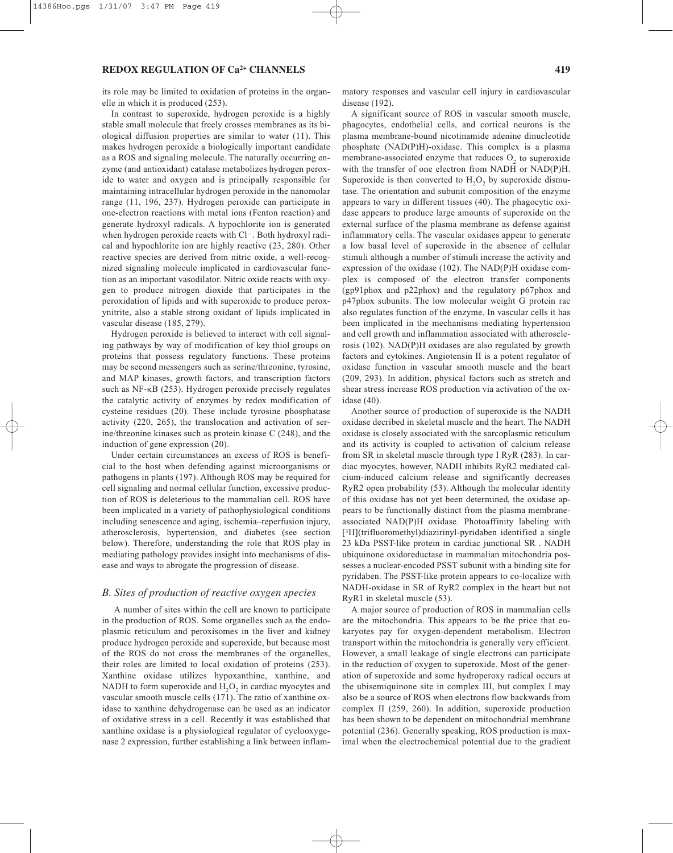its role may be limited to oxidation of proteins in the organelle in which it is produced (253).

In contrast to superoxide, hydrogen peroxide is a highly stable small molecule that freely crosses membranes as its biological diffusion properties are similar to water (11). This makes hydrogen peroxide a biologically important candidate as a ROS and signaling molecule. The naturally occurring enzyme (and antioxidant) catalase metabolizes hydrogen peroxide to water and oxygen and is principally responsible for maintaining intracellular hydrogen peroxide in the nanomolar range (11, 196, 237). Hydrogen peroxide can participate in one-electron reactions with metal ions (Fenton reaction) and generate hydroxyl radicals. A hypochlorite ion is generated when hydrogen peroxide reacts with Cl<sup>-</sup>. Both hydroxyl radical and hypochlorite ion are highly reactive (23, 280). Other reactive species are derived from nitric oxide, a well-recognized signaling molecule implicated in cardiovascular function as an important vasodilator. Nitric oxide reacts with oxygen to produce nitrogen dioxide that participates in the peroxidation of lipids and with superoxide to produce peroxynitrite, also a stable strong oxidant of lipids implicated in vascular disease (185, 279).

Hydrogen peroxide is believed to interact with cell signaling pathways by way of modification of key thiol groups on proteins that possess regulatory functions. These proteins may be second messengers such as serine/threonine, tyrosine, and MAP kinases, growth factors, and transcription factors such as NF- $\kappa$ B (253). Hydrogen peroxide precisely regulates the catalytic activity of enzymes by redox modification of cysteine residues (20). These include tyrosine phosphatase activity (220, 265), the translocation and activation of serine/threonine kinases such as protein kinase C (248), and the induction of gene expression (20).

Under certain circumstances an excess of ROS is beneficial to the host when defending against microorganisms or pathogens in plants (197). Although ROS may be required for cell signaling and normal cellular function, excessive production of ROS is deleterious to the mammalian cell. ROS have been implicated in a variety of pathophysiological conditions including senescence and aging, ischemia–reperfusion injury, atherosclerosis, hypertension, and diabetes (see section below). Therefore, understanding the role that ROS play in mediating pathology provides insight into mechanisms of disease and ways to abrogate the progression of disease.

#### *B. Sites of production of reactive oxygen species*

A number of sites within the cell are known to participate in the production of ROS. Some organelles such as the endoplasmic reticulum and peroxisomes in the liver and kidney produce hydrogen peroxide and superoxide, but because most of the ROS do not cross the membranes of the organelles, their roles are limited to local oxidation of proteins (253). Xanthine oxidase utilizes hypoxanthine, xanthine, and NADH to form superoxide and  $H_2O_2$  in cardiac myocytes and vascular smooth muscle cells (171). The ratio of xanthine oxidase to xanthine dehydrogenase can be used as an indicator of oxidative stress in a cell. Recently it was established that xanthine oxidase is a physiological regulator of cyclooxygenase 2 expression, further establishing a link between inflammatory responses and vascular cell injury in cardiovascular disease (192).

A significant source of ROS in vascular smooth muscle, phagocytes, endothelial cells, and cortical neurons is the plasma membrane-bound nicotinamide adenine dinucleotide phosphate (NAD(P)H)-oxidase. This complex is a plasma membrane-associated enzyme that reduces  $O<sub>2</sub>$  to superoxide with the transfer of one electron from NADH or NAD(P)H. Superoxide is then converted to  $H<sub>2</sub>O<sub>2</sub>$  by superoxide dismutase. The orientation and subunit composition of the enzyme appears to vary in different tissues (40). The phagocytic oxidase appears to produce large amounts of superoxide on the external surface of the plasma membrane as defense against inflammatory cells. The vascular oxidases appear to generate a low basal level of superoxide in the absence of cellular stimuli although a number of stimuli increase the activity and expression of the oxidase (102). The NAD(P)H oxidase complex is composed of the electron transfer components (gp91phox and p22phox) and the regulatory p67phox and p47phox subunits. The low molecular weight G protein rac also regulates function of the enzyme. In vascular cells it has been implicated in the mechanisms mediating hypertension and cell growth and inflammation associated with atherosclerosis (102). NAD(P)H oxidases are also regulated by growth factors and cytokines. Angiotensin II is a potent regulator of oxidase function in vascular smooth muscle and the heart (209, 293). In addition, physical factors such as stretch and shear stress increase ROS production via activation of the oxidase (40).

Another source of production of superoxide is the NADH oxidase decribed in skeletal muscle and the heart. The NADH oxidase is closely associated with the sarcoplasmic reticulum and its activity is coupled to activation of calcium release from SR in skeletal muscle through type I RyR (283). In cardiac myocytes, however, NADH inhibits RyR2 mediated calcium-induced calcium release and significantly decreases RyR2 open probability (53). Although the molecular identity of this oxidase has not yet been determined, the oxidase appears to be functionally distinct from the plasma membraneassociated NAD(P)H oxidase. Photoaffinity labeling with [3H](trifluoromethyl)diazirinyl-pyridaben identified a single 23 kDa PSST-like protein in cardiac junctional SR . NADH ubiquinone oxidoreductase in mammalian mitochondria possesses a nuclear-encoded PSST subunit with a binding site for pyridaben. The PSST-like protein appears to co-localize with NADH-oxidase in SR of RyR2 complex in the heart but not RyR1 in skeletal muscle (53).

A major source of production of ROS in mammalian cells are the mitochondria. This appears to be the price that eukaryotes pay for oxygen-dependent metabolism. Electron transport within the mitochondria is generally very efficient. However, a small leakage of single electrons can participate in the reduction of oxygen to superoxide. Most of the generation of superoxide and some hydroperoxy radical occurs at the ubisemiquinone site in complex III, but complex I may also be a source of ROS when electrons flow backwards from complex II (259, 260). In addition, superoxide production has been shown to be dependent on mitochondrial membrane potential (236). Generally speaking, ROS production is maximal when the electrochemical potential due to the gradient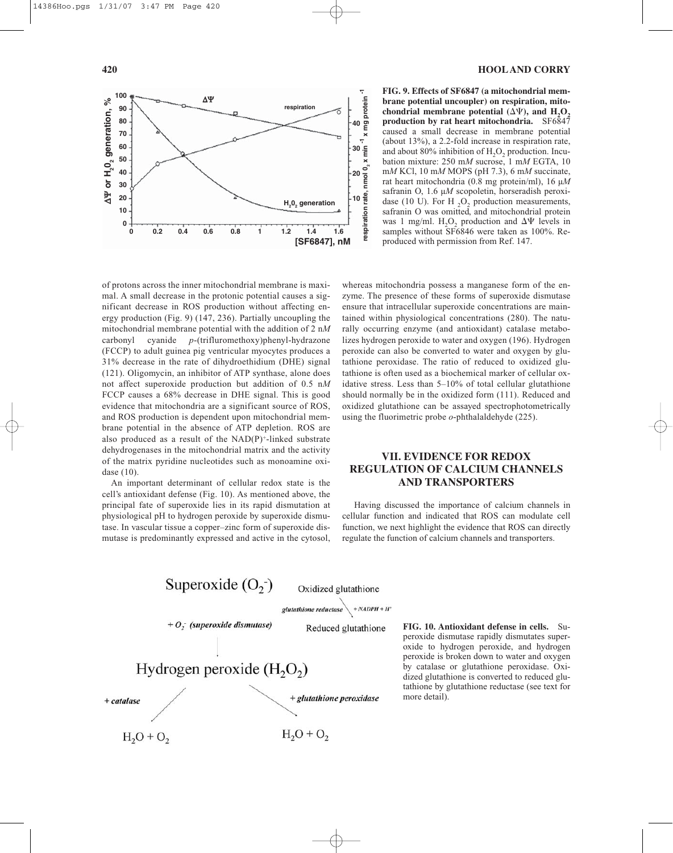

**FIG. 9. Effects of SF6847 (a mitochondrial membrane potential uncoupler) on respiration, mito**chondrial membrane potential  $(\Delta\Psi)$ , and  $H_2O_2$ **production by rat heart mitochondria.** SF6847 caused a small decrease in membrane potential (about 13%), a 2.2-fold increase in respiration rate, and about 80% inhibition of  $H_2O_2$  production. Incubation mixture: 250 m*M* sucrose, 1 m*M* EGTA, 10 m*M* KCl, 10 m*M* MOPS (pH 7.3), 6 m*M* succinate, rat heart mitochondria (0.8 mg protein/ml), 16 µ*M* safranin O, 1.6 µ*M* scopoletin, horseradish peroxidase (10 U). For H  $_2O_2$  production measurements, safranin O was omitted, and mitochondrial protein was 1 mg/ml.  $H_2O_2$  production and  $\Delta\Psi$  levels in samples without SF6846 were taken as 100%. Reproduced with permission from Ref. 147.

of protons across the inner mitochondrial membrane is maximal. A small decrease in the protonic potential causes a significant decrease in ROS production without affecting energy production (Fig. 9) (147, 236). Partially uncoupling the mitochondrial membrane potential with the addition of 2 n*M* carbonyl cyanide *p*-(trifluromethoxy)phenyl-hydrazone (FCCP) to adult guinea pig ventricular myocytes produces a 31% decrease in the rate of dihydroethidium (DHE) signal (121). Oligomycin, an inhibitor of ATP synthase, alone does not affect superoxide production but addition of 0.5 n*M* FCCP causes a 68% decrease in DHE signal. This is good evidence that mitochondria are a significant source of ROS, and ROS production is dependent upon mitochondrial membrane potential in the absence of ATP depletion. ROS are also produced as a result of the  $NAD(P)^+$ -linked substrate dehydrogenases in the mitochondrial matrix and the activity of the matrix pyridine nucleotides such as monoamine oxidase (10).

An important determinant of cellular redox state is the cell's antioxidant defense (Fig. 10). As mentioned above, the principal fate of superoxide lies in its rapid dismutation at physiological pH to hydrogen peroxide by superoxide dismutase. In vascular tissue a copper–zinc form of superoxide dismutase is predominantly expressed and active in the cytosol, whereas mitochondria possess a manganese form of the enzyme. The presence of these forms of superoxide dismutase ensure that intracellular superoxide concentrations are maintained within physiological concentrations (280). The naturally occurring enzyme (and antioxidant) catalase metabolizes hydrogen peroxide to water and oxygen (196). Hydrogen peroxide can also be converted to water and oxygen by glutathione peroxidase. The ratio of reduced to oxidized glutathione is often used as a biochemical marker of cellular oxidative stress. Less than 5–10% of total cellular glutathione should normally be in the oxidized form (111). Reduced and oxidized glutathione can be assayed spectrophotometrically using the fluorimetric probe *o*-phthalaldehyde (225).

# **VII. EVIDENCE FOR REDOX REGULATION OF CALCIUM CHANNELS AND TRANSPORTERS**

Having discussed the importance of calcium channels in cellular function and indicated that ROS can modulate cell function, we next highlight the evidence that ROS can directly regulate the function of calcium channels and transporters.



**FIG. 10. Antioxidant defense in cells.** Superoxide dismutase rapidly dismutates superoxide to hydrogen peroxide, and hydrogen peroxide is broken down to water and oxygen by catalase or glutathione peroxidase. Oxidized glutathione is converted to reduced glutathione by glutathione reductase (see text for more detail).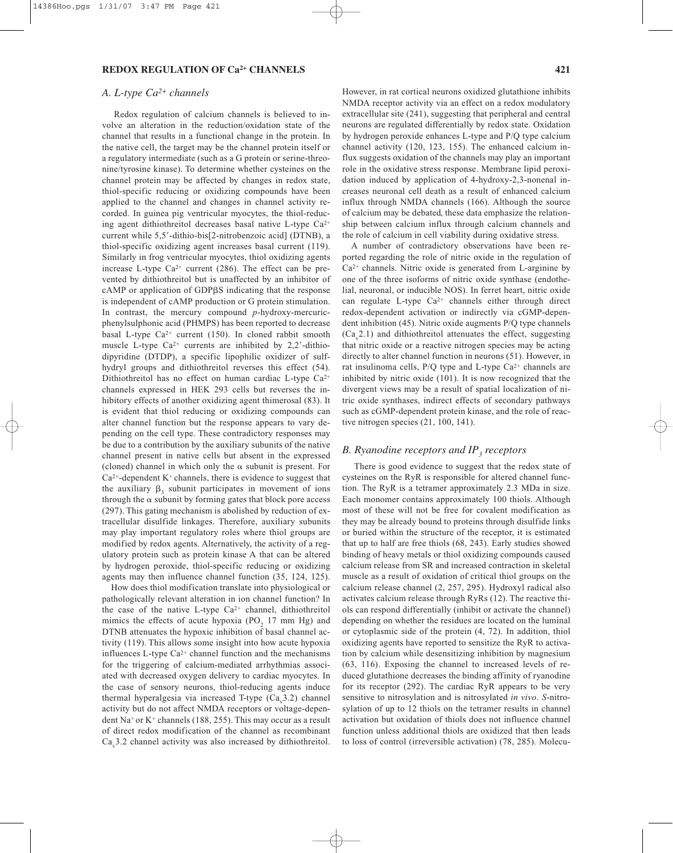#### *A. L-type Ca2+ channels*

Redox regulation of calcium channels is believed to involve an alteration in the reduction/oxidation state of the channel that results in a functional change in the protein. In the native cell, the target may be the channel protein itself or a regulatory intermediate (such as a G protein or serine-threonine/tyrosine kinase). To determine whether cysteines on the channel protein may be affected by changes in redox state, thiol-specific reducing or oxidizing compounds have been applied to the channel and changes in channel activity recorded. In guinea pig ventricular myocytes, the thiol-reducing agent dithiothreitol decreases basal native L-type  $Ca^{2+}$ current while 5,5-dithio-bis[2-nitrobenzoic acid] (DTNB), a thiol-specific oxidizing agent increases basal current (119). Similarly in frog ventricular myocytes, thiol oxidizing agents increase L-type  $Ca^{2+}$  current (286). The effect can be prevented by dithiothreitol but is unaffected by an inhibitor of cAMP or application of GDPS indicating that the response is independent of cAMP production or G protein stimulation. In contrast, the mercury compound *p*-hydroxy-mercuricphenylsulphonic acid (PHMPS) has been reported to decrease basal L-type  $Ca^{2+}$  current (150). In cloned rabbit smooth muscle L-type  $Ca^{2+}$  currents are inhibited by 2,2'-dithiodipyridine (DTDP), a specific lipophilic oxidizer of sulfhydryl groups and dithiothreitol reverses this effect (54). Dithiothreitol has no effect on human cardiac L-type Ca2+ channels expressed in HEK 293 cells but reverses the inhibitory effects of another oxidizing agent thimerosal (83). It is evident that thiol reducing or oxidizing compounds can alter channel function but the response appears to vary depending on the cell type. These contradictory responses may be due to a contribution by the auxiliary subunits of the native channel present in native cells but absent in the expressed (cloned) channel in which only the  $\alpha$  subunit is present. For  $Ca<sup>2+</sup>$ -dependent K<sup>+</sup> channels, there is evidence to suggest that the auxiliary  $\beta$ , subunit participates in movement of ions through the  $\alpha$  subunit by forming gates that block pore access (297). This gating mechanism is abolished by reduction of extracellular disulfide linkages. Therefore, auxiliary subunits may play important regulatory roles where thiol groups are modified by redox agents. Alternatively, the activity of a regulatory protein such as protein kinase A that can be altered by hydrogen peroxide, thiol-specific reducing or oxidizing agents may then influence channel function (35, 124, 125).

How does thiol modification translate into physiological or pathologically relevant alteration in ion channel function? In the case of the native L-type  $Ca^{2+}$  channel, dithiothreitol mimics the effects of acute hypoxia (PO $2$  17 mm Hg) and DTNB attenuates the hypoxic inhibition of basal channel activity (119). This allows some insight into how acute hypoxia influences L-type  $Ca^{2+}$  channel function and the mechanisms for the triggering of calcium-mediated arrhythmias associated with decreased oxygen delivery to cardiac myocytes. In the case of sensory neurons, thiol-reducing agents induce thermal hyperalgesia via increased T-type  $(Ca, 3.2)$  channel activity but do not affect NMDA receptors or voltage-dependent Na<sup>+</sup> or K<sup>+</sup> channels (188, 255). This may occur as a result of direct redox modification of the channel as recombinant Ca<sub>v</sub>3.2 channel activity was also increased by dithiothreitol. However, in rat cortical neurons oxidized glutathione inhibits NMDA receptor activity via an effect on a redox modulatory extracellular site (241), suggesting that peripheral and central neurons are regulated differentially by redox state. Oxidation by hydrogen peroxide enhances L-type and P/Q type calcium channel activity (120, 123, 155). The enhanced calcium influx suggests oxidation of the channels may play an important role in the oxidative stress response. Membrane lipid peroxidation induced by application of 4-hydroxy-2,3-nonenal increases neuronal cell death as a result of enhanced calcium influx through NMDA channels (166). Although the source of calcium may be debated, these data emphasize the relationship between calcium influx through calcium channels and the role of calcium in cell viability during oxidative stress.

A number of contradictory observations have been reported regarding the role of nitric oxide in the regulation of  $Ca<sup>2+</sup>$  channels. Nitric oxide is generated from L-arginine by one of the three isoforms of nitric oxide synthase (endothelial, neuronal, or inducible NOS). In ferret heart, nitric oxide can regulate L-type Ca<sup>2+</sup> channels either through direct redox-dependent activation or indirectly via cGMP-dependent inhibition (45). Nitric oxide augments P/Q type channels  $(Ca<sub>2</sub>,1)$  and dithiothreitol attenuates the effect, suggesting that nitric oxide or a reactive nitrogen species may be acting directly to alter channel function in neurons (51). However, in rat insulinoma cells,  $P/Q$  type and L-type  $Ca^{2+}$  channels are inhibited by nitric oxide (101). It is now recognized that the divergent views may be a result of spatial localization of nitric oxide synthases, indirect effects of secondary pathways such as cGMP-dependent protein kinase, and the role of reactive nitrogen species (21, 100, 141).

## *B. Ryanodine receptors and IP<sub>3</sub> receptors*

There is good evidence to suggest that the redox state of cysteines on the RyR is responsible for altered channel function. The RyR is a tetramer approximately 2.3 MDa in size. Each monomer contains approximately 100 thiols. Although most of these will not be free for covalent modification as they may be already bound to proteins through disulfide links or buried within the structure of the receptor, it is estimated that up to half are free thiols (68, 243). Early studies showed binding of heavy metals or thiol oxidizing compounds caused calcium release from SR and increased contraction in skeletal muscle as a result of oxidation of critical thiol groups on the calcium release channel (2, 257, 295). Hydroxyl radical also activates calcium release through RyRs (12). The reactive thiols can respond differentially (inhibit or activate the channel) depending on whether the residues are located on the luminal or cytoplasmic side of the protein (4, 72). In addition, thiol oxidizing agents have reported to sensitize the RyR to activation by calcium while desensitizing inhibition by magnesium (63, 116). Exposing the channel to increased levels of reduced glutathione decreases the binding affinity of ryanodine for its receptor (292). The cardiac RyR appears to be very sensitive to nitrosylation and is nitrosylated *in vivo*. *S*-nitrosylation of up to 12 thiols on the tetramer results in channel activation but oxidation of thiols does not influence channel function unless additional thiols are oxidized that then leads to loss of control (irreversible activation) (78, 285). Molecu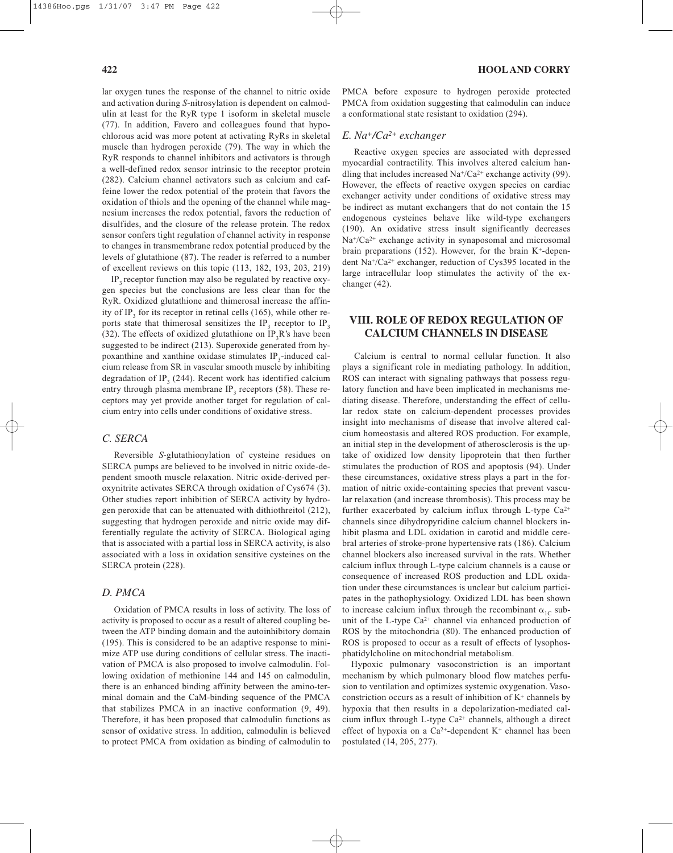lar oxygen tunes the response of the channel to nitric oxide and activation during *S*-nitrosylation is dependent on calmodulin at least for the RyR type 1 isoform in skeletal muscle (77). In addition, Favero and colleagues found that hypochlorous acid was more potent at activating RyRs in skeletal muscle than hydrogen peroxide (79). The way in which the RyR responds to channel inhibitors and activators is through a well-defined redox sensor intrinsic to the receptor protein (282). Calcium channel activators such as calcium and caffeine lower the redox potential of the protein that favors the oxidation of thiols and the opening of the channel while magnesium increases the redox potential, favors the reduction of disulfides, and the closure of the release protein. The redox sensor confers tight regulation of channel activity in response to changes in transmembrane redox potential produced by the levels of glutathione (87). The reader is referred to a number of excellent reviews on this topic (113, 182, 193, 203, 219)

 $IP<sub>3</sub>$  receptor function may also be regulated by reactive oxygen species but the conclusions are less clear than for the RyR. Oxidized glutathione and thimerosal increase the affinity of IP<sub>3</sub> for its receptor in retinal cells (165), while other reports state that thimerosal sensitizes the IP<sub>3</sub> receptor to IP<sub>3</sub> (32). The effects of oxidized glutathione on  $IP_3R$ 's have been suggested to be indirect (213). Superoxide generated from hypoxanthine and xanthine oxidase stimulates  $IP_3$ -induced calcium release from SR in vascular smooth muscle by inhibiting degradation of IP<sub>3</sub> (244). Recent work has identified calcium entry through plasma membrane  $IP_3$  receptors (58). These receptors may yet provide another target for regulation of calcium entry into cells under conditions of oxidative stress.

## *C. SERCA*

Reversible *S*-glutathionylation of cysteine residues on SERCA pumps are believed to be involved in nitric oxide-dependent smooth muscle relaxation. Nitric oxide-derived peroxynitrite activates SERCA through oxidation of Cys674 (3). Other studies report inhibition of SERCA activity by hydrogen peroxide that can be attenuated with dithiothreitol (212), suggesting that hydrogen peroxide and nitric oxide may differentially regulate the activity of SERCA. Biological aging that is associated with a partial loss in SERCA activity, is also associated with a loss in oxidation sensitive cysteines on the SERCA protein (228).

#### *D. PMCA*

Oxidation of PMCA results in loss of activity. The loss of activity is proposed to occur as a result of altered coupling between the ATP binding domain and the autoinhibitory domain (195). This is considered to be an adaptive response to minimize ATP use during conditions of cellular stress. The inactivation of PMCA is also proposed to involve calmodulin. Following oxidation of methionine 144 and 145 on calmodulin, there is an enhanced binding affinity between the amino-terminal domain and the CaM-binding sequence of the PMCA that stabilizes PMCA in an inactive conformation (9, 49). Therefore, it has been proposed that calmodulin functions as sensor of oxidative stress. In addition, calmodulin is believed to protect PMCA from oxidation as binding of calmodulin to

PMCA before exposure to hydrogen peroxide protected PMCA from oxidation suggesting that calmodulin can induce a conformational state resistant to oxidation (294).

## *E. Na+/Ca2+ exchanger*

Reactive oxygen species are associated with depressed myocardial contractility. This involves altered calcium handling that includes increased  $Na^{\dagger}/Ca^{2+}$  exchange activity (99). However, the effects of reactive oxygen species on cardiac exchanger activity under conditions of oxidative stress may be indirect as mutant exchangers that do not contain the 15 endogenous cysteines behave like wild-type exchangers (190). An oxidative stress insult significantly decreases  $Na^{+}/Ca^{2+}$  exchange activity in synaposomal and microsomal brain preparations (152). However, for the brain  $K^+$ -dependent Na+/Ca2+ exchanger, reduction of Cys395 located in the large intracellular loop stimulates the activity of the exchanger (42).

## **VIII. ROLE OF REDOX REGULATION OF CALCIUM CHANNELS IN DISEASE**

Calcium is central to normal cellular function. It also plays a significant role in mediating pathology. In addition, ROS can interact with signaling pathways that possess regulatory function and have been implicated in mechanisms mediating disease. Therefore, understanding the effect of cellular redox state on calcium-dependent processes provides insight into mechanisms of disease that involve altered calcium homeostasis and altered ROS production. For example, an initial step in the development of atherosclerosis is the uptake of oxidized low density lipoprotein that then further stimulates the production of ROS and apoptosis (94). Under these circumstances, oxidative stress plays a part in the formation of nitric oxide-containing species that prevent vascular relaxation (and increase thrombosis). This process may be further exacerbated by calcium influx through L-type  $Ca^{2+}$ channels since dihydropyridine calcium channel blockers inhibit plasma and LDL oxidation in carotid and middle cerebral arteries of stroke-prone hypertensive rats (186). Calcium channel blockers also increased survival in the rats. Whether calcium influx through L-type calcium channels is a cause or consequence of increased ROS production and LDL oxidation under these circumstances is unclear but calcium participates in the pathophysiology. Oxidized LDL has been shown to increase calcium influx through the recombinant  $\alpha_{1C}$  subunit of the L-type Ca<sup>2+</sup> channel via enhanced production of ROS by the mitochondria (80). The enhanced production of ROS is proposed to occur as a result of effects of lysophosphatidylcholine on mitochondrial metabolism.

Hypoxic pulmonary vasoconstriction is an important mechanism by which pulmonary blood flow matches perfusion to ventilation and optimizes systemic oxygenation. Vasoconstriction occurs as a result of inhibition of  $K^+$  channels by hypoxia that then results in a depolarization-mediated calcium influx through L-type  $Ca^{2+}$  channels, although a direct effect of hypoxia on a Ca<sup>2+</sup>-dependent K<sup>+</sup> channel has been postulated (14, 205, 277).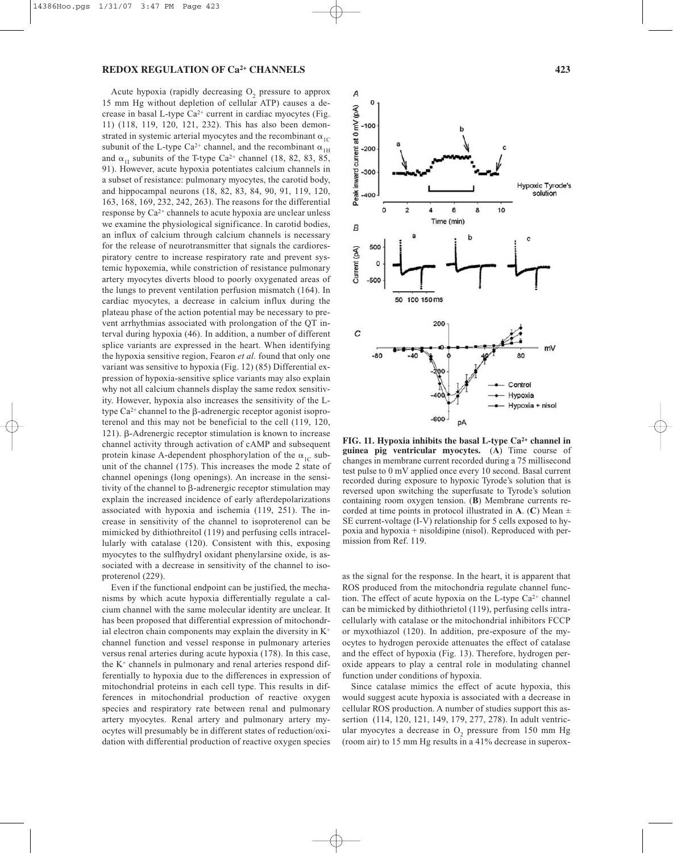#### **REDOX REGULATION OF Ca2+ CHANNELS 423**

Acute hypoxia (rapidly decreasing  $O<sub>2</sub>$  pressure to approx 15 mm Hg without depletion of cellular ATP) causes a decrease in basal L-type  $Ca^{2+}$  current in cardiac myocytes (Fig. 11) (118, 119, 120, 121, 232). This has also been demonstrated in systemic arterial myocytes and the recombinant  $\alpha_{1C}$ subunit of the L-type Ca<sup>2+</sup> channel, and the recombinant  $\alpha_{1H}$ and  $\alpha_{11}$  subunits of the T-type Ca<sup>2+</sup> channel (18, 82, 83, 85, 91). However, acute hypoxia potentiates calcium channels in a subset of resistance: pulmonary myocytes, the carotid body, and hippocampal neurons (18, 82, 83, 84, 90, 91, 119, 120, 163, 168, 169, 232, 242, 263). The reasons for the differential response by Ca2+ channels to acute hypoxia are unclear unless we examine the physiological significance. In carotid bodies, an influx of calcium through calcium channels is necessary for the release of neurotransmitter that signals the cardiorespiratory centre to increase respiratory rate and prevent systemic hypoxemia, while constriction of resistance pulmonary artery myocytes diverts blood to poorly oxygenated areas of the lungs to prevent ventilation perfusion mismatch (164). In cardiac myocytes, a decrease in calcium influx during the plateau phase of the action potential may be necessary to prevent arrhythmias associated with prolongation of the QT interval during hypoxia (46). In addition, a number of different splice variants are expressed in the heart. When identifying the hypoxia sensitive region, Fearon *et al.* found that only one variant was sensitive to hypoxia (Fig. 12) (85) Differential expression of hypoxia-sensitive splice variants may also explain why not all calcium channels display the same redox sensitivity. However, hypoxia also increases the sensitivity of the Ltype  $Ca^{2+}$  channel to the  $\beta$ -adrenergic receptor agonist isoproterenol and this may not be beneficial to the cell (119, 120,  $121$ ).  $\beta$ -Adrenergic receptor stimulation is known to increase channel activity through activation of cAMP and subsequent protein kinase A-dependent phosphorylation of the  $\alpha_{1C}$  subunit of the channel (175). This increases the mode 2 state of channel openings (long openings). An increase in the sensitivity of the channel to  $\beta$ -adrenergic receptor stimulation may explain the increased incidence of early afterdepolarizations associated with hypoxia and ischemia (119, 251). The increase in sensitivity of the channel to isoproterenol can be mimicked by dithiothreitol (119) and perfusing cells intracellularly with catalase (120). Consistent with this, exposing myocytes to the sulfhydryl oxidant phenylarsine oxide, is associated with a decrease in sensitivity of the channel to isoproterenol (229).

Even if the functional endpoint can be justified, the mechanisms by which acute hypoxia differentially regulate a calcium channel with the same molecular identity are unclear. It has been proposed that differential expression of mitochondrial electron chain components may explain the diversity in  $K^+$ channel function and vessel response in pulmonary arteries versus renal arteries during acute hypoxia (178). In this case, the  $K<sup>+</sup>$  channels in pulmonary and renal arteries respond differentially to hypoxia due to the differences in expression of mitochondrial proteins in each cell type. This results in differences in mitochondrial production of reactive oxygen species and respiratory rate between renal and pulmonary artery myocytes. Renal artery and pulmonary artery myocytes will presumably be in different states of reduction/oxidation with differential production of reactive oxygen species





**FIG. 11. Hypoxia inhibits the basal L-type Ca2+ channel in guinea pig ventricular myocytes.** (**A**) Time course of changes in membrane current recorded during a 75 millisecond test pulse to 0 mV applied once every 10 second. Basal current recorded during exposure to hypoxic Tyrode's solution that is reversed upon switching the superfusate to Tyrode's solution containing room oxygen tension. (**B**) Membrane currents recorded at time points in protocol illustrated in **A**. (**C**) Mean  $\pm$ SE current-voltage (I-V) relationship for 5 cells exposed to hypoxia and hypoxia + nisoldipine (nisol). Reproduced with permission from Ref. 119.

as the signal for the response. In the heart, it is apparent that ROS produced from the mitochondria regulate channel function. The effect of acute hypoxia on the L-type  $Ca^{2+}$  channel can be mimicked by dithiothrietol (119), perfusing cells intracellularly with catalase or the mitochondrial inhibitors FCCP or myxothiazol (120). In addition, pre-exposure of the myocytes to hydrogen peroxide attenuates the effect of catalase and the effect of hypoxia (Fig. 13). Therefore, hydrogen peroxide appears to play a central role in modulating channel function under conditions of hypoxia.

Since catalase mimics the effect of acute hypoxia, this would suggest acute hypoxia is associated with a decrease in cellular ROS production. A number of studies support this assertion (114, 120, 121, 149, 179, 277, 278). In adult ventricular myocytes a decrease in  $O<sub>2</sub>$  pressure from 150 mm Hg (room air) to 15 mm Hg results in a 41% decrease in superox-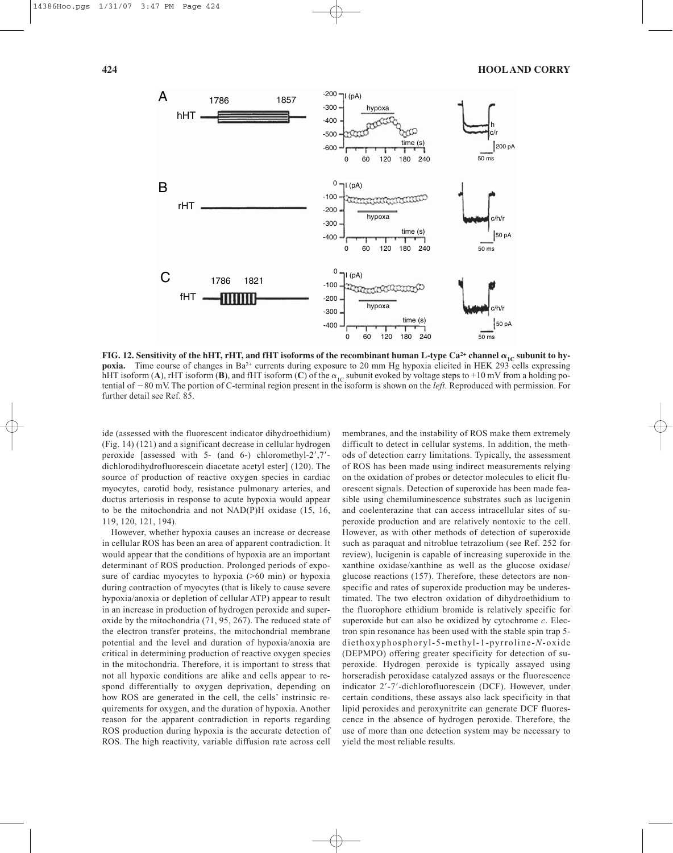

**FIG. 12. Sensitivity of the hHT, rHT, and fHT isoforms of the recombinant human L-type Ca<sup>2+</sup> channel**  $\alpha_{10}$  **subunit to hypoxia.** Time course of changes in Ba<sup>2+</sup> currents during exposure to 20 mm Hg hypoxia elicited in HEK 293 cells expressing hHT isoform (A), rHT isoform (B), and fHT isoform (C) of the  $\alpha_{1C}$  subunit evoked by voltage steps to +10 mV from a holding potential of 80 mV. The portion of C-terminal region present in the isoform is shown on the *left*. Reproduced with permission. For further detail see Ref. 85.

ide (assessed with the fluorescent indicator dihydroethidium) (Fig. 14) (121) and a significant decrease in cellular hydrogen peroxide [assessed with 5- (and 6-) chloromethyl-2,7 dichlorodihydrofluorescein diacetate acetyl ester] (120). The source of production of reactive oxygen species in cardiac myocytes, carotid body, resistance pulmonary arteries, and ductus arteriosis in response to acute hypoxia would appear to be the mitochondria and not NAD(P)H oxidase (15, 16, 119, 120, 121, 194).

However, whether hypoxia causes an increase or decrease in cellular ROS has been an area of apparent contradiction. It would appear that the conditions of hypoxia are an important determinant of ROS production. Prolonged periods of exposure of cardiac myocytes to hypoxia (>60 min) or hypoxia during contraction of myocytes (that is likely to cause severe hypoxia/anoxia or depletion of cellular ATP) appear to result in an increase in production of hydrogen peroxide and superoxide by the mitochondria (71, 95, 267). The reduced state of the electron transfer proteins, the mitochondrial membrane potential and the level and duration of hypoxia/anoxia are critical in determining production of reactive oxygen species in the mitochondria. Therefore, it is important to stress that not all hypoxic conditions are alike and cells appear to respond differentially to oxygen deprivation, depending on how ROS are generated in the cell, the cells' instrinsic requirements for oxygen, and the duration of hypoxia. Another reason for the apparent contradiction in reports regarding ROS production during hypoxia is the accurate detection of ROS. The high reactivity, variable diffusion rate across cell

membranes, and the instability of ROS make them extremely difficult to detect in cellular systems. In addition, the methods of detection carry limitations. Typically, the assessment of ROS has been made using indirect measurements relying on the oxidation of probes or detector molecules to elicit fluorescent signals. Detection of superoxide has been made feasible using chemiluminescence substrates such as lucigenin and coelenterazine that can access intracellular sites of superoxide production and are relatively nontoxic to the cell. However, as with other methods of detection of superoxide such as paraquat and nitroblue tetrazolium (see Ref. 252 for review), lucigenin is capable of increasing superoxide in the xanthine oxidase/xanthine as well as the glucose oxidase/ glucose reactions (157). Therefore, these detectors are nonspecific and rates of superoxide production may be underestimated. The two electron oxidation of dihydroethidium to the fluorophore ethidium bromide is relatively specific for superoxide but can also be oxidized by cytochrome *c*. Electron spin resonance has been used with the stable spin trap 5 diethoxyphosphoryl-5-methyl-1-pyrroline-*N*-oxide (DEPMPO) offering greater specificity for detection of superoxide. Hydrogen peroxide is typically assayed using horseradish peroxidase catalyzed assays or the fluorescence indicator 2-7-dichlorofluorescein (DCF). However, under certain conditions, these assays also lack specificity in that lipid peroxides and peroxynitrite can generate DCF fluorescence in the absence of hydrogen peroxide. Therefore, the use of more than one detection system may be necessary to yield the most reliable results.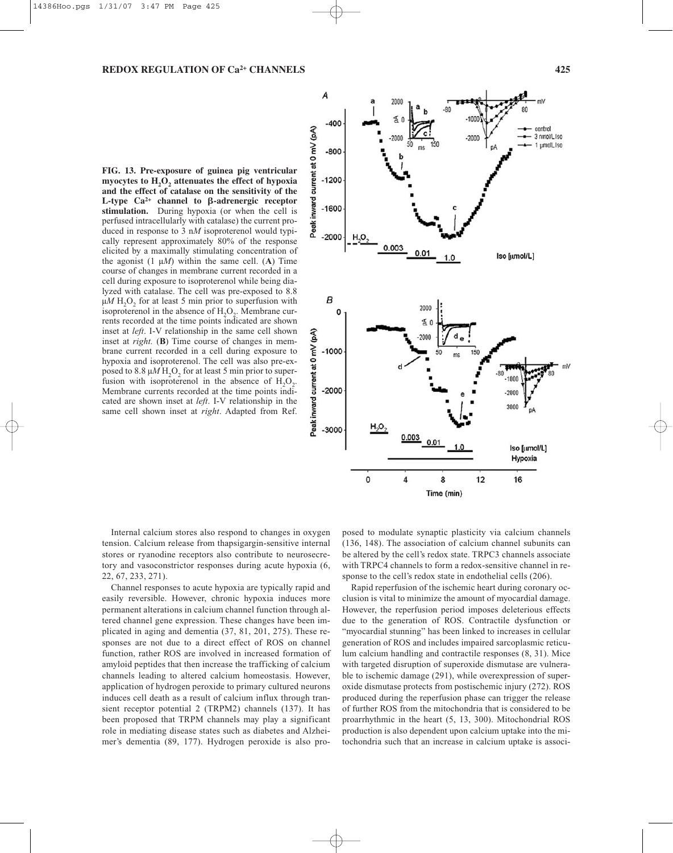**FIG. 13. Pre-exposure of guinea pig ventricular** myocytes to  $H_2O_2$  attenuates the effect of hypoxia **and the effect of catalase on the sensitivity of the**  $L$ -type  $Ca^{2+}$  channel to  $\beta$ -adrenergic receptor stimulation. During hypoxia (or when the cell is perfused intracellularly with catalase) the current produced in response to 3 n*M* isoproterenol would typically represent approximately 80% of the response elicited by a maximally stimulating concentration of the agonist  $(1 \mu M)$  within the same cell.  $(A)$  Time course of changes in membrane current recorded in a cell during exposure to isoproterenol while being dialyzed with catalase. The cell was pre-exposed to 8.8  $\mu$ *M* H<sub>2</sub>O<sub>2</sub> for at least 5 min prior to superfusion with isoproterenol in the absence of  $H_2O_2$ . Membrane currents recorded at the time points indicated are shown inset at *left*. I-V relationship in the same cell shown inset at *right.* (**B**) Time course of changes in membrane current recorded in a cell during exposure to hypoxia and isoproterenol. The cell was also pre-exposed to 8.8  $\mu$ *M* H<sub>2</sub>O<sub>2</sub> for at least 5 min prior to superfusion with isoproterenol in the absence of  $H_2O_2$ . Membrane currents recorded at the time points indicated are shown inset at *left*. I-V relationship in the same cell shown inset at *right*. Adapted from Ref.



Internal calcium stores also respond to changes in oxygen tension. Calcium release from thapsigargin-sensitive internal stores or ryanodine receptors also contribute to neurosecretory and vasoconstrictor responses during acute hypoxia (6, 22, 67, 233, 271).

Channel responses to acute hypoxia are typically rapid and easily reversible. However, chronic hypoxia induces more permanent alterations in calcium channel function through altered channel gene expression. These changes have been implicated in aging and dementia (37, 81, 201, 275). These responses are not due to a direct effect of ROS on channel function, rather ROS are involved in increased formation of amyloid peptides that then increase the trafficking of calcium channels leading to altered calcium homeostasis. However, application of hydrogen peroxide to primary cultured neurons induces cell death as a result of calcium influx through transient receptor potential 2 (TRPM2) channels (137). It has been proposed that TRPM channels may play a significant role in mediating disease states such as diabetes and Alzheimer's dementia (89, 177). Hydrogen peroxide is also proposed to modulate synaptic plasticity via calcium channels (136, 148). The association of calcium channel subunits can be altered by the cell's redox state. TRPC3 channels associate with TRPC4 channels to form a redox-sensitive channel in response to the cell's redox state in endothelial cells (206).

Rapid reperfusion of the ischemic heart during coronary occlusion is vital to minimize the amount of myocardial damage. However, the reperfusion period imposes deleterious effects due to the generation of ROS. Contractile dysfunction or "myocardial stunning" has been linked to increases in cellular generation of ROS and includes impaired sarcoplasmic reticulum calcium handling and contractile responses (8, 31). Mice with targeted disruption of superoxide dismutase are vulnerable to ischemic damage (291), while overexpression of superoxide dismutase protects from postischemic injury (272). ROS produced during the reperfusion phase can trigger the release of further ROS from the mitochondria that is considered to be proarrhythmic in the heart (5, 13, 300). Mitochondrial ROS production is also dependent upon calcium uptake into the mitochondria such that an increase in calcium uptake is associ-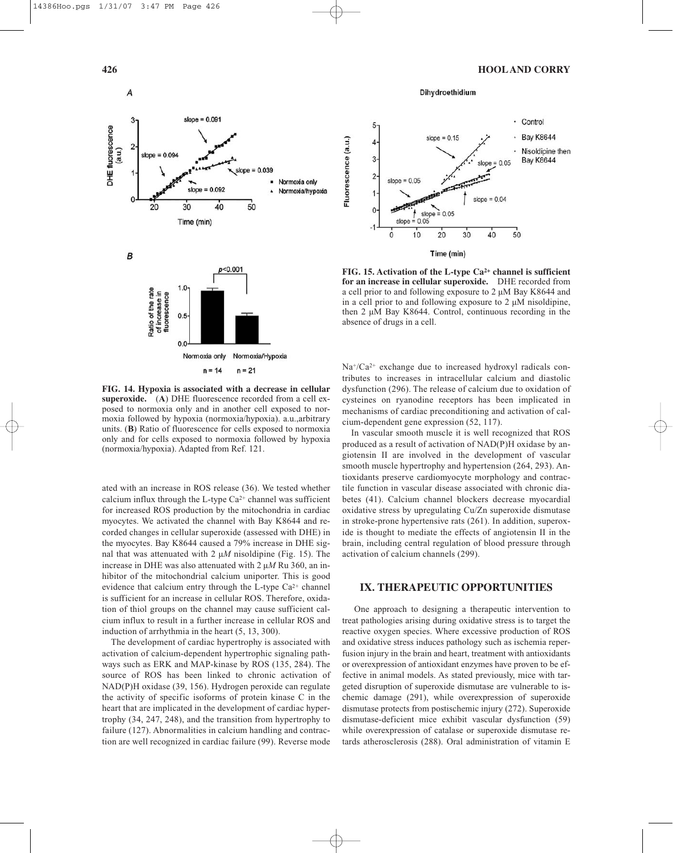

**FIG. 14. Hypoxia is associated with a decrease in cellular superoxide.** (**A**) DHE fluorescence recorded from a cell exposed to normoxia only and in another cell exposed to normoxia followed by hypoxia (normoxia/hypoxia). a.u.,arbitrary units. (**B**) Ratio of fluorescence for cells exposed to normoxia only and for cells exposed to normoxia followed by hypoxia (normoxia/hypoxia). Adapted from Ref. 121.

ated with an increase in ROS release (36). We tested whether calcium influx through the L-type  $Ca^{2+}$  channel was sufficient for increased ROS production by the mitochondria in cardiac myocytes. We activated the channel with Bay K8644 and recorded changes in cellular superoxide (assessed with DHE) in the myocytes. Bay K8644 caused a 79% increase in DHE signal that was attenuated with  $2 \mu M$  nisoldipine (Fig. 15). The increase in DHE was also attenuated with 2 µ*M* Ru 360, an inhibitor of the mitochondrial calcium uniporter. This is good evidence that calcium entry through the L-type  $Ca^{2+}$  channel is sufficient for an increase in cellular ROS. Therefore, oxidation of thiol groups on the channel may cause sufficient calcium influx to result in a further increase in cellular ROS and induction of arrhythmia in the heart (5, 13, 300).

The development of cardiac hypertrophy is associated with activation of calcium-dependent hypertrophic signaling pathways such as ERK and MAP-kinase by ROS (135, 284). The source of ROS has been linked to chronic activation of NAD(P)H oxidase (39, 156). Hydrogen peroxide can regulate the activity of specific isoforms of protein kinase C in the heart that are implicated in the development of cardiac hypertrophy (34, 247, 248), and the transition from hypertrophy to failure (127). Abnormalities in calcium handling and contraction are well recognized in cardiac failure (99). Reverse mode

Dihydroethidium



**FIG. 15. Activation of the L-type Ca2+ channel is sufficient for an increase in cellular superoxide.** DHE recorded from a cell prior to and following exposure to 2 µM Bay K8644 and in a cell prior to and following exposure to 2 µM nisoldipine, then 2 µM Bay K8644. Control, continuous recording in the absence of drugs in a cell.

Na+/Ca2+ exchange due to increased hydroxyl radicals contributes to increases in intracellular calcium and diastolic dysfunction (296). The release of calcium due to oxidation of cysteines on ryanodine receptors has been implicated in mechanisms of cardiac preconditioning and activation of calcium-dependent gene expression (52, 117).

In vascular smooth muscle it is well recognized that ROS produced as a result of activation of NAD(P)H oxidase by angiotensin II are involved in the development of vascular smooth muscle hypertrophy and hypertension (264, 293). Antioxidants preserve cardiomyocyte morphology and contractile function in vascular disease associated with chronic diabetes (41). Calcium channel blockers decrease myocardial oxidative stress by upregulating Cu/Zn superoxide dismutase in stroke-prone hypertensive rats (261). In addition, superoxide is thought to mediate the effects of angiotensin II in the brain, including central regulation of blood pressure through activation of calcium channels (299).

#### **IX. THERAPEUTIC OPPORTUNITIES**

One approach to designing a therapeutic intervention to treat pathologies arising during oxidative stress is to target the reactive oxygen species. Where excessive production of ROS and oxidative stress induces pathology such as ischemia reperfusion injury in the brain and heart, treatment with antioxidants or overexpression of antioxidant enzymes have proven to be effective in animal models. As stated previously, mice with targeted disruption of superoxide dismutase are vulnerable to ischemic damage (291), while overexpression of superoxide dismutase protects from postischemic injury (272). Superoxide dismutase-deficient mice exhibit vascular dysfunction (59) while overexpression of catalase or superoxide dismutase retards atherosclerosis (288). Oral administration of vitamin E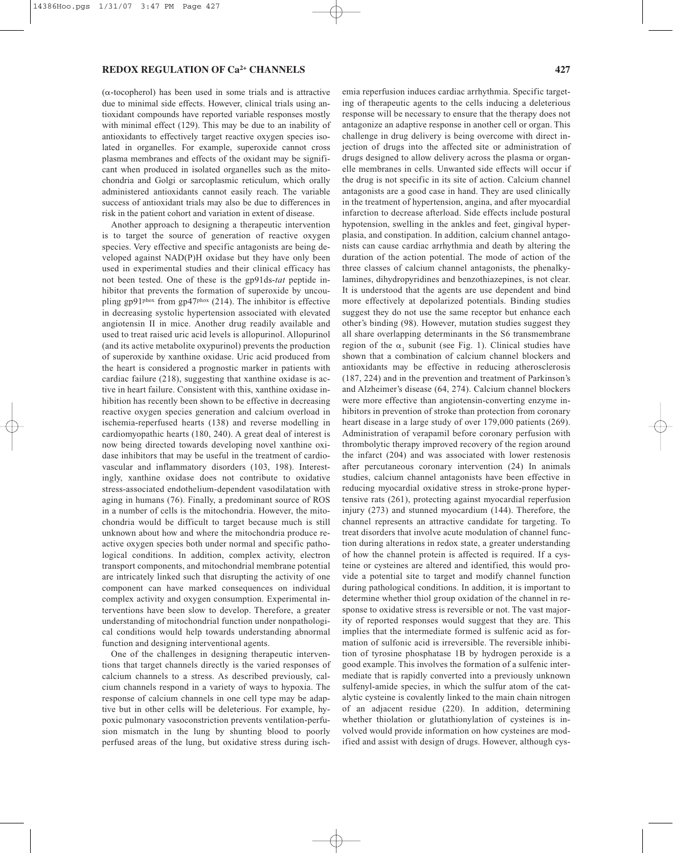$(\alpha$ -tocopherol) has been used in some trials and is attractive due to minimal side effects. However, clinical trials using antioxidant compounds have reported variable responses mostly with minimal effect (129). This may be due to an inability of antioxidants to effectively target reactive oxygen species isolated in organelles. For example, superoxide cannot cross plasma membranes and effects of the oxidant may be significant when produced in isolated organelles such as the mitochondria and Golgi or sarcoplasmic reticulum, which orally administered antioxidants cannot easily reach. The variable success of antioxidant trials may also be due to differences in risk in the patient cohort and variation in extent of disease.

Another approach to designing a therapeutic intervention is to target the source of generation of reactive oxygen species. Very effective and specific antagonists are being developed against NAD(P)H oxidase but they have only been used in experimental studies and their clinical efficacy has not been tested. One of these is the gp91ds-*tat* peptide inhibitor that prevents the formation of superoxide by uncoupling gp91phox from gp47phox (214). The inhibitor is effective in decreasing systolic hypertension associated with elevated angiotensin II in mice. Another drug readily available and used to treat raised uric acid levels is allopurinol. Allopurinol (and its active metabolite oxypurinol) prevents the production of superoxide by xanthine oxidase. Uric acid produced from the heart is considered a prognostic marker in patients with cardiac failure (218), suggesting that xanthine oxidase is active in heart failure. Consistent with this, xanthine oxidase inhibition has recently been shown to be effective in decreasing reactive oxygen species generation and calcium overload in ischemia-reperfused hearts (138) and reverse modelling in cardiomyopathic hearts (180, 240). A great deal of interest is now being directed towards developing novel xanthine oxidase inhibitors that may be useful in the treatment of cardiovascular and inflammatory disorders (103, 198). Interestingly, xanthine oxidase does not contribute to oxidative stress-associated endothelium-dependent vasodilatation with aging in humans (76). Finally, a predominant source of ROS in a number of cells is the mitochondria. However, the mitochondria would be difficult to target because much is still unknown about how and where the mitochondria produce reactive oxygen species both under normal and specific pathological conditions. In addition, complex activity, electron transport components, and mitochondrial membrane potential are intricately linked such that disrupting the activity of one component can have marked consequences on individual complex activity and oxygen consumption. Experimental interventions have been slow to develop. Therefore, a greater understanding of mitochondrial function under nonpathological conditions would help towards understanding abnormal function and designing interventional agents.

One of the challenges in designing therapeutic interventions that target channels directly is the varied responses of calcium channels to a stress. As described previously, calcium channels respond in a variety of ways to hypoxia. The response of calcium channels in one cell type may be adaptive but in other cells will be deleterious. For example, hypoxic pulmonary vasoconstriction prevents ventilation-perfusion mismatch in the lung by shunting blood to poorly perfused areas of the lung, but oxidative stress during ischemia reperfusion induces cardiac arrhythmia. Specific targeting of therapeutic agents to the cells inducing a deleterious response will be necessary to ensure that the therapy does not antagonize an adaptive response in another cell or organ. This challenge in drug delivery is being overcome with direct injection of drugs into the affected site or administration of drugs designed to allow delivery across the plasma or organelle membranes in cells. Unwanted side effects will occur if the drug is not specific in its site of action. Calcium channel antagonists are a good case in hand. They are used clinically in the treatment of hypertension, angina, and after myocardial infarction to decrease afterload. Side effects include postural hypotension, swelling in the ankles and feet, gingival hyperplasia, and constipation. In addition, calcium channel antagonists can cause cardiac arrhythmia and death by altering the duration of the action potential. The mode of action of the three classes of calcium channel antagonists, the phenalkylamines, dihydropyridines and benzothiazepines, is not clear. It is understood that the agents are use dependent and bind more effectively at depolarized potentials. Binding studies suggest they do not use the same receptor but enhance each other's binding (98). However, mutation studies suggest they all share overlapping determinants in the S6 transmembrane region of the  $\alpha_1$ , subunit (see Fig. 1). Clinical studies have shown that a combination of calcium channel blockers and antioxidants may be effective in reducing atherosclerosis (187, 224) and in the prevention and treatment of Parkinson's and Alzheimer's disease (64, 274). Calcium channel blockers were more effective than angiotensin-converting enzyme inhibitors in prevention of stroke than protection from coronary heart disease in a large study of over 179,000 patients (269). Administration of verapamil before coronary perfusion with thrombolytic therapy improved recovery of the region around the infarct (204) and was associated with lower restenosis after percutaneous coronary intervention (24) In animals studies, calcium channel antagonists have been effective in reducing myocardial oxidative stress in stroke-prone hypertensive rats (261), protecting against myocardial reperfusion injury (273) and stunned myocardium (144). Therefore, the channel represents an attractive candidate for targeting. To treat disorders that involve acute modulation of channel function during alterations in redox state, a greater understanding of how the channel protein is affected is required. If a cysteine or cysteines are altered and identified, this would provide a potential site to target and modify channel function during pathological conditions. In addition, it is important to determine whether thiol group oxidation of the channel in response to oxidative stress is reversible or not. The vast majority of reported responses would suggest that they are. This implies that the intermediate formed is sulfenic acid as formation of sulfonic acid is irreversible. The reversible inhibition of tyrosine phosphatase 1B by hydrogen peroxide is a good example. This involves the formation of a sulfenic intermediate that is rapidly converted into a previously unknown sulfenyl-amide species, in which the sulfur atom of the catalytic cysteine is covalently linked to the main chain nitrogen of an adjacent residue (220). In addition, determining whether thiolation or glutathionylation of cysteines is involved would provide information on how cysteines are modified and assist with design of drugs. However, although cys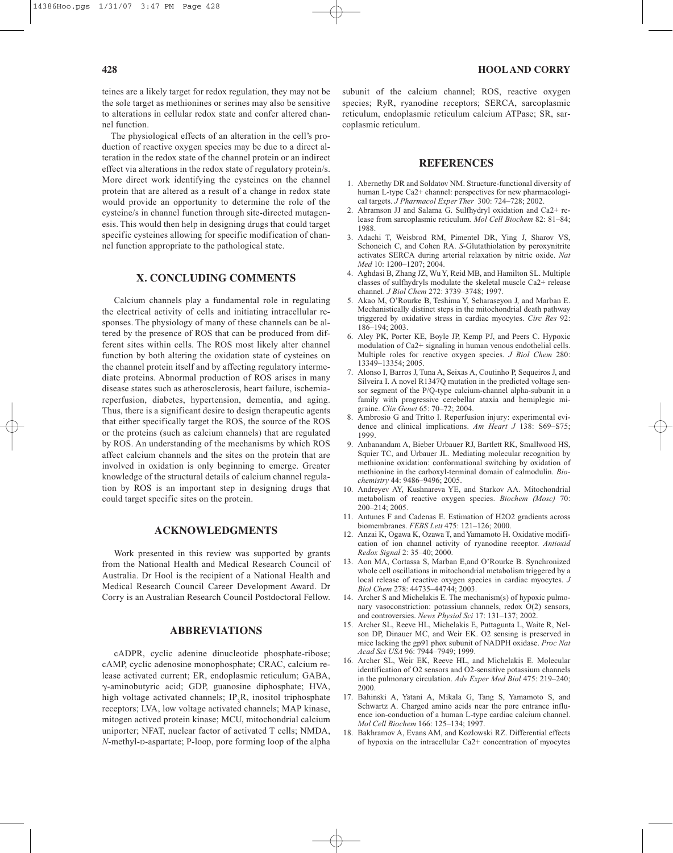teines are a likely target for redox regulation, they may not be the sole target as methionines or serines may also be sensitive to alterations in cellular redox state and confer altered channel function.

The physiological effects of an alteration in the cell's production of reactive oxygen species may be due to a direct alteration in the redox state of the channel protein or an indirect effect via alterations in the redox state of regulatory protein/s. More direct work identifying the cysteines on the channel protein that are altered as a result of a change in redox state would provide an opportunity to determine the role of the cysteine/s in channel function through site-directed mutagenesis. This would then help in designing drugs that could target specific cysteines allowing for specific modification of channel function appropriate to the pathological state.

## **X. CONCLUDING COMMENTS**

Calcium channels play a fundamental role in regulating the electrical activity of cells and initiating intracellular responses. The physiology of many of these channels can be altered by the presence of ROS that can be produced from different sites within cells. The ROS most likely alter channel function by both altering the oxidation state of cysteines on the channel protein itself and by affecting regulatory intermediate proteins. Abnormal production of ROS arises in many disease states such as atherosclerosis, heart failure, ischemiareperfusion, diabetes, hypertension, dementia, and aging. Thus, there is a significant desire to design therapeutic agents that either specifically target the ROS, the source of the ROS or the proteins (such as calcium channels) that are regulated by ROS. An understanding of the mechanisms by which ROS affect calcium channels and the sites on the protein that are involved in oxidation is only beginning to emerge. Greater knowledge of the structural details of calcium channel regulation by ROS is an important step in designing drugs that could target specific sites on the protein.

### **ACKNOWLEDGMENTS**

Work presented in this review was supported by grants from the National Health and Medical Research Council of Australia. Dr Hool is the recipient of a National Health and Medical Research Council Career Development Award. Dr Corry is an Australian Research Council Postdoctoral Fellow.

#### **ABBREVIATIONS**

cADPR, cyclic adenine dinucleotide phosphate-ribose; cAMP, cyclic adenosine monophosphate; CRAC, calcium release activated current; ER, endoplasmic reticulum; GABA, -aminobutyric acid; GDP, guanosine diphosphate; HVA, high voltage activated channels;  $IP_3R$ , inositol triphosphate receptors; LVA, low voltage activated channels; MAP kinase, mitogen actived protein kinase; MCU, mitochondrial calcium uniporter; NFAT, nuclear factor of activated T cells; NMDA, *N*-methyl-D-aspartate; P-loop, pore forming loop of the alpha subunit of the calcium channel; ROS, reactive oxygen species; RyR, ryanodine receptors; SERCA, sarcoplasmic reticulum, endoplasmic reticulum calcium ATPase; SR, sarcoplasmic reticulum.

#### **REFERENCES**

- 1. Abernethy DR and Soldatov NM. Structure-functional diversity of human L-type Ca2+ channel: perspectives for new pharmacological targets. *J Pharmacol Exper Ther* 300: 724–728; 2002.
- 2. Abramson JJ and Salama G. Sulfhydryl oxidation and Ca2+ release from sarcoplasmic reticulum. *Mol Cell Biochem* 82: 81–84; 1988.
- 3. Adachi T, Weisbrod RM, Pimentel DR, Ying J, Sharov VS, Schoneich C, and Cohen RA. *S*-Glutathiolation by peroxynitrite activates SERCA during arterial relaxation by nitric oxide. *Nat Med* 10: 1200–1207; 2004.
- 4. Aghdasi B, Zhang JZ, Wu Y, Reid MB, and Hamilton SL. Multiple classes of sulfhydryls modulate the skeletal muscle Ca2+ release channel. *J Biol Chem* 272: 3739–3748; 1997.
- 5. Akao M, O'Rourke B, Teshima Y, Seharaseyon J, and Marban E. Mechanistically distinct steps in the mitochondrial death pathway triggered by oxidative stress in cardiac myocytes. *Circ Res* 92: 186–194; 2003.
- 6. Aley PK, Porter KE, Boyle JP, Kemp PJ, and Peers C. Hypoxic modulation of Ca2+ signaling in human venous endothelial cells. Multiple roles for reactive oxygen species. *J Biol Chem* 280: 13349–13354; 2005.
- 7. Alonso I, Barros J, Tuna A, Seixas A, Coutinho P, Sequeiros J, and Silveira I. A novel R1347Q mutation in the predicted voltage sensor segment of the P/Q-type calcium-channel alpha-subunit in a family with progressive cerebellar ataxia and hemiplegic migraine. *Clin Genet* 65: 70–72; 2004.
- Ambrosio G and Tritto I. Reperfusion injury: experimental evidence and clinical implications. *Am Heart J* 138: S69–S75; 1999.
- 9. Anbanandam A, Bieber Urbauer RJ, Bartlett RK, Smallwood HS, Squier TC, and Urbauer JL. Mediating molecular recognition by methionine oxidation: conformational switching by oxidation of methionine in the carboxyl-terminal domain of calmodulin. *Biochemistry* 44: 9486–9496; 2005.
- 10. Andreyev AY, Kushnareva YE, and Starkov AA. Mitochondrial metabolism of reactive oxygen species. *Biochem (Mosc)* 70: 200–214; 2005.
- 11. Antunes F and Cadenas E. Estimation of H2O2 gradients across biomembranes. *FEBS Lett* 475: 121–126; 2000.
- 12. Anzai K, Ogawa K, Ozawa T, and Yamamoto H. Oxidative modification of ion channel activity of ryanodine receptor. *Antioxid Redox Signal* 2: 35–40; 2000.
- 13. Aon MA, Cortassa S, Marban E,and O'Rourke B. Synchronized whole cell oscillations in mitochondrial metabolism triggered by a local release of reactive oxygen species in cardiac myocytes. *J Biol Chem* 278: 44735–44744; 2003.
- 14. Archer S and Michelakis E. The mechanism(s) of hypoxic pulmonary vasoconstriction: potassium channels, redox O(2) sensors, and controversies. *News Physiol Sci* 17: 131–137; 2002.
- 15. Archer SL, Reeve HL, Michelakis E, Puttagunta L, Waite R, Nelson DP, Dinauer MC, and Weir EK. O2 sensing is preserved in mice lacking the gp91 phox subunit of NADPH oxidase. *Proc Nat Acad Sci USA* 96: 7944–7949; 1999.
- 16. Archer SL, Weir EK, Reeve HL, and Michelakis E. Molecular identification of O2 sensors and O2-sensitive potassium channels in the pulmonary circulation. *Adv Exper Med Biol* 475: 219–240; 2000.
- 17. Bahinski A, Yatani A, Mikala G, Tang S, Yamamoto S, and Schwartz A. Charged amino acids near the pore entrance influence ion-conduction of a human L-type cardiac calcium channel. *Mol Cell Biochem* 166: 125–134; 1997.
- 18. Bakhramov A, Evans AM, and Kozlowski RZ. Differential effects of hypoxia on the intracellular Ca2+ concentration of myocytes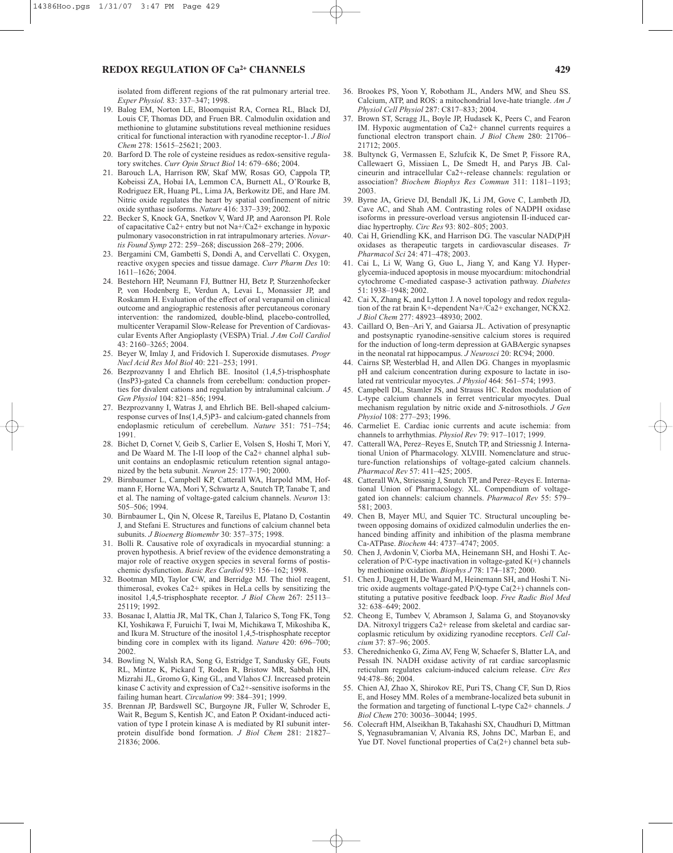isolated from different regions of the rat pulmonary arterial tree. *Exper Physiol.* 83: 337–347; 1998.

- 19. Balog EM, Norton LE, Bloomquist RA, Cornea RL, Black DJ, Louis CF, Thomas DD, and Fruen BR. Calmodulin oxidation and methionine to glutamine substitutions reveal methionine residues critical for functional interaction with ryanodine receptor-1. *J Biol Chem* 278: 15615–25621; 2003.
- 20. Barford D. The role of cysteine residues as redox-sensitive regulatory switches. *Curr Opin Struct Biol* 14: 679–686; 2004.
- 21. Barouch LA, Harrison RW, Skaf MW, Rosas GO, Cappola TP, Kobeissi ZA, Hobai IA, Lemmon CA, Burnett AL, O'Rourke B, Rodriguez ER, Huang PL, Lima JA, Berkowitz DE, and Hare JM. Nitric oxide regulates the heart by spatial confinement of nitric oxide synthase isoforms. *Nature* 416: 337–339; 2002.
- 22. Becker S, Knock GA, Snetkov V, Ward JP, and Aaronson PI. Role of capacitative Ca2+ entry but not Na+/Ca2+ exchange in hypoxic pulmonary vasoconstriction in rat intrapulmonary arteries. *Novartis Found Symp* 272: 259–268; discussion 268–279; 2006.
- 23. Bergamini CM, Gambetti S, Dondi A, and Cervellati C. Oxygen, reactive oxygen species and tissue damage. *Curr Pharm Des* 10: 1611–1626; 2004.
- 24. Bestehorn HP, Neumann FJ, Buttner HJ, Betz P, Sturzenhofecker P, von Hodenberg E, Verdun A, Levai L, Monassier JP, and Roskamm H. Evaluation of the effect of oral verapamil on clinical outcome and angiographic restenosis after percutaneous coronary intervention: the randomized, double-blind, placebo-controlled, multicenter Verapamil Slow-Release for Prevention of Cardiovascular Events After Angioplasty (VESPA) Trial. *J Am Coll Cardiol* 43: 2160–3265; 2004.
- 25. Beyer W, Imlay J, and Fridovich I. Superoxide dismutases. *Progr Nucl Acid Res Mol Biol* 40: 221–253; 1991.
- 26. Bezprozvanny I and Ehrlich BE. Inositol (1,4,5)-trisphosphate (InsP3)-gated Ca channels from cerebellum: conduction properties for divalent cations and regulation by intraluminal calcium. *J Gen Physiol* 104: 821–856; 1994.
- 27. Bezprozvanny I, Watras J, and Ehrlich BE. Bell-shaped calciumresponse curves of Ins(1,4,5)P3- and calcium-gated channels from endoplasmic reticulum of cerebellum. *Nature* 351: 751–754; 1991.
- 28. Bichet D, Cornet V, Geib S, Carlier E, Volsen S, Hoshi T, Mori Y, and De Waard M. The I-II loop of the Ca2+ channel alpha1 subunit contains an endoplasmic reticulum retention signal antagonized by the beta subunit. *Neuron* 25: 177–190; 2000.
- 29. Birnbaumer L, Campbell KP, Catterall WA, Harpold MM, Hofmann F, Horne WA, Mori Y, Schwartz A, Snutch TP, Tanabe T, and et al. The naming of voltage-gated calcium channels. *Neuron* 13: 505–506; 1994.
- 30. Birnbaumer L, Qin N, Olcese R, Tareilus E, Platano D, Costantin J, and Stefani E. Structures and functions of calcium channel beta subunits. *J Bioenerg Biomembr* 30: 357–375; 1998.
- 31. Bolli R. Causative role of oxyradicals in myocardial stunning: a proven hypothesis. A brief review of the evidence demonstrating a major role of reactive oxygen species in several forms of postischemic dysfunction. *Basic Res Cardiol* 93: 156–162; 1998.
- 32. Bootman MD, Taylor CW, and Berridge MJ. The thiol reagent, thimerosal, evokes Ca2+ spikes in HeLa cells by sensitizing the inositol 1,4,5-trisphosphate receptor. *J Biol Chem* 267: 25113– 25119; 1992.
- 33. Bosanac I, Alattia JR, Mal TK, Chan J, Talarico S, Tong FK, Tong KI, Yoshikawa F, Furuichi T, Iwai M, Michikawa T, Mikoshiba K, and Ikura M. Structure of the inositol 1,4,5-trisphosphate receptor binding core in complex with its ligand. *Nature* 420: 696–700; 2002.
- 34. Bowling N, Walsh RA, Song G, Estridge T, Sandusky GE, Fouts RL, Mintze K, Pickard T, Roden R, Bristow MR, Sabbah HN, Mizrahi JL, Gromo G, King GL, and Vlahos CJ. Increased protein kinase C activity and expression of Ca2+-sensitive isoforms in the failing human heart. *Circulation* 99: 384–391; 1999.
- 35. Brennan JP, Bardswell SC, Burgoyne JR, Fuller W, Schroder E, Wait R, Begum S, Kentish JC, and Eaton P. Oxidant-induced activation of type I protein kinase A is mediated by RI subunit interprotein disulfide bond formation. *J Biol Chem* 281: 21827– 21836; 2006.
- 36. Brookes PS, Yoon Y, Robotham JL, Anders MW, and Sheu SS. Calcium, ATP, and ROS: a mitochondrial love-hate triangle. *Am J Physiol Cell Physiol* 287: C817–833; 2004.
- 37. Brown ST, Scragg JL, Boyle JP, Hudasek K, Peers C, and Fearon IM. Hypoxic augmentation of Ca2+ channel currents requires a functional electron transport chain. *J Biol Chem* 280: 21706– 21712; 2005.
- 38. Bultynck G, Vermassen E, Szlufcik K, De Smet P, Fissore RA, Callewaert G, Missiaen L, De Smedt H, and Parys JB. Calcineurin and intracellular Ca2+-release channels: regulation or association? *Biochem Biophys Res Commun* 311: 1181–1193; 2003.
- 39. Byrne JA, Grieve DJ, Bendall JK, Li JM, Gove C, Lambeth JD, Cave AC, and Shah AM. Contrasting roles of NADPH oxidase isoforms in pressure-overload versus angiotensin II-induced cardiac hypertrophy. *Circ Res* 93: 802–805; 2003.
- 40. Cai H, Griendling KK, and Harrison DG. The vascular NAD(P)H oxidases as therapeutic targets in cardiovascular diseases. *Tr Pharmacol Sci* 24: 471–478; 2003.
- 41. Cai L, Li W, Wang G, Guo L, Jiang Y, and Kang YJ. Hyperglycemia-induced apoptosis in mouse myocardium: mitochondrial cytochrome C-mediated caspase-3 activation pathway. *Diabetes* 51: 1938–1948; 2002.
- 42. Cai X, Zhang K, and Lytton J. A novel topology and redox regulation of the rat brain K+-dependent Na+/Ca2+ exchanger, NCKX2. *J Biol Chem* 277: 48923–48930; 2002.
- 43. Caillard O, Ben–Ari Y, and Gaiarsa JL. Activation of presynaptic and postsynaptic ryanodine-sensitive calcium stores is required for the induction of long-term depression at GABAergic synapses in the neonatal rat hippocampus. *J Neurosci* 20: RC94; 2000.
- 44. Cairns SP, Westerblad H, and Allen DG. Changes in myoplasmic pH and calcium concentration during exposure to lactate in isolated rat ventricular myocytes. *J Physiol* 464: 561–574; 1993.
- 45. Campbell DL, Stamler JS, and Strauss HC. Redox modulation of L-type calcium channels in ferret ventricular myocytes. Dual mechanism regulation by nitric oxide and *S*-nitrosothiols. *J Gen Physiol* 108: 277–293; 1996.
- 46. Carmeliet E. Cardiac ionic currents and acute ischemia: from channels to arrhythmias. *Physiol Rev* 79: 917–1017; 1999.
- 47. Catterall WA, Perez–Reyes E, Snutch TP, and Striessnig J. International Union of Pharmacology. XLVIII. Nomenclature and structure-function relationships of voltage-gated calcium channels. *Pharmacol Rev* 57: 411–425; 2005.
- 48. Catterall WA, Striessnig J, Snutch TP, and Perez–Reyes E. International Union of Pharmacology. XL. Compendium of voltagegated ion channels: calcium channels. *Pharmacol Rev* 55: 579– 581; 2003.
- 49. Chen B, Mayer MU, and Squier TC. Structural uncoupling between opposing domains of oxidized calmodulin underlies the enhanced binding affinity and inhibition of the plasma membrane Ca-ATPase. *Biochem* 44: 4737–4747; 2005.
- 50. Chen J, Avdonin V, Ciorba MA, Heinemann SH, and Hoshi T. Acceleration of P/C-type inactivation in voltage-gated K(+) channels by methionine oxidation. *Biophys J* 78: 174–187; 2000.
- 51. Chen J, Daggett H, De Waard M, Heinemann SH, and Hoshi T. Nitric oxide augments voltage-gated P/Q-type Ca(2+) channels constituting a putative positive feedback loop. *Free Radic Biol Med* 32: 638–649; 2002.
- 52. Cheong E, Tumbev V, Abramson J, Salama G, and Stoyanovsky DA. Nitroxyl triggers Ca2+ release from skeletal and cardiac sarcoplasmic reticulum by oxidizing ryanodine receptors. *Cell Calcium* 37: 87–96; 2005.
- 53. Cherednichenko G, Zima AV, Feng W, Schaefer S, Blatter LA, and Pessah IN. NADH oxidase activity of rat cardiac sarcoplasmic reticulum regulates calcium-induced calcium release. *Circ Res* 94:478–86; 2004.
- 55. Chien AJ, Zhao X, Shirokov RE, Puri TS, Chang CF, Sun D, Rios E, and Hosey MM. Roles of a membrane-localized beta subunit in the formation and targeting of functional L-type Ca2+ channels. *J Biol Chem* 270: 30036–30044; 1995.
- 56. Colecraft HM, Alseikhan B, Takahashi SX, Chaudhuri D, Mittman S, Yegnasubramanian V, Alvania RS, Johns DC, Marban E, and Yue DT. Novel functional properties of Ca(2+) channel beta sub-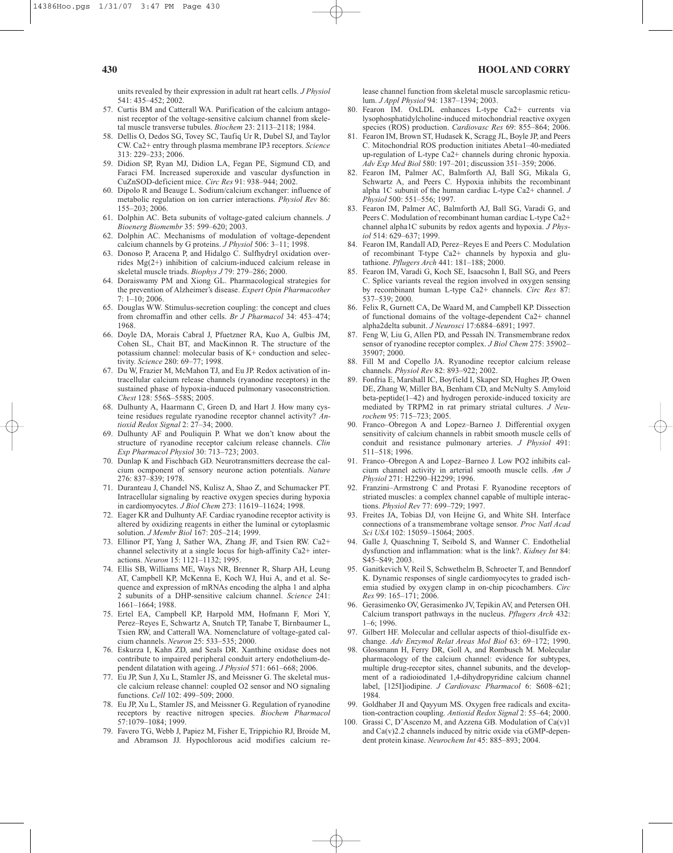units revealed by their expression in adult rat heart cells. *J Physiol* 541: 435–452; 2002.

- 57. Curtis BM and Catterall WA. Purification of the calcium antagonist receptor of the voltage-sensitive calcium channel from skeletal muscle transverse tubules. *Biochem* 23: 2113–2118; 1984.
- 58. Dellis O, Dedos SG, Tovey SC, Taufiq Ur R, Dubel SJ, and Taylor CW. Ca2+ entry through plasma membrane IP3 receptors. *Science* 313: 229–233; 2006.
- 59. Didion SP, Ryan MJ, Didion LA, Fegan PE, Sigmund CD, and Faraci FM. Increased superoxide and vascular dysfunction in CuZnSOD-deficient mice. *Circ Res* 91: 938–944; 2002.
- 60. Dipolo R and Beauge L. Sodium/calcium exchanger: influence of metabolic regulation on ion carrier interactions. *Physiol Rev* 86: 155–203; 2006.
- 61. Dolphin AC. Beta subunits of voltage-gated calcium channels. *J Bioenerg Biomembr* 35: 599–620; 2003.
- 62. Dolphin AC. Mechanisms of modulation of voltage-dependent calcium channels by G proteins. *J Physiol* 506: 3–11; 1998.
- 63. Donoso P, Aracena P, and Hidalgo C. Sulfhydryl oxidation overrides Mg(2+) inhibition of calcium-induced calcium release in skeletal muscle triads. *Biophys J* 79: 279–286; 2000.
- 64. Doraiswamy PM and Xiong GL. Pharmacological strategies for the prevention of Alzheimer's disease. *Expert Opin Pharmacother* 7: 1–10; 2006.
- 65. Douglas WW. Stimulus-secretion coupling: the concept and clues from chromaffin and other cells. *Br J Pharmacol* 34: 453–474; 1968.
- 66. Doyle DA, Morais Cabral J, Pfuetzner RA, Kuo A, Gulbis JM, Cohen SL, Chait BT, and MacKinnon R. The structure of the potassium channel: molecular basis of K+ conduction and selectivity. *Science* 280: 69–77; 1998.
- 67. Du W, Frazier M, McMahon TJ, and Eu JP. Redox activation of intracellular calcium release channels (ryanodine receptors) in the sustained phase of hypoxia-induced pulmonary vasoconstriction. *Chest* 128: 556S–558S; 2005.
- 68. Dulhunty A, Haarmann C, Green D, and Hart J. How many cysteine residues regulate ryanodine receptor channel activity? *Antioxid Redox Signal* 2: 27–34; 2000.
- 69. Dulhunty AF and Pouliquin P. What we don't know about the structure of ryanodine receptor calcium release channels. *Clin Exp Pharmacol Physiol* 30: 713–723; 2003.
- 70. Dunlap K and Fischbach GD. Neurotransmitters decrease the calcium ocmponent of sensory neurone action potentials. *Nature* 276: 837–839; 1978.
- 71. Duranteau J, Chandel NS, Kulisz A, Shao Z, and Schumacker PT. Intracellular signaling by reactive oxygen species during hypoxia in cardiomyocytes. *J Biol Chem* 273: 11619–11624; 1998.
- 72. Eager KR and Dulhunty AF. Cardiac ryanodine receptor activity is altered by oxidizing reagents in either the luminal or cytoplasmic solution. *J Membr Biol* 167: 205–214; 1999.
- 73. Ellinor PT, Yang J, Sather WA, Zhang JF, and Tsien RW. Ca2+ channel selectivity at a single locus for high-affinity Ca2+ interactions. *Neuron* 15: 1121–1132; 1995.
- 74. Ellis SB, Williams ME, Ways NR, Brenner R, Sharp AH, Leung AT, Campbell KP, McKenna E, Koch WJ, Hui A, and et al. Sequence and expression of mRNAs encoding the alpha 1 and alpha 2 subunits of a DHP-sensitive calcium channel. *Science* 241: 1661–1664; 1988.
- 75. Ertel EA, Campbell KP, Harpold MM, Hofmann F, Mori Y, Perez–Reyes E, Schwartz A, Snutch TP, Tanabe T, Birnbaumer L, Tsien RW, and Catterall WA. Nomenclature of voltage-gated calcium channels. *Neuron* 25: 533–535; 2000.
- 76. Eskurza I, Kahn ZD, and Seals DR. Xanthine oxidase does not contribute to impaired peripheral conduit artery endothelium-dependent dilatation with ageing. *J Physiol* 571: 661–668; 2006.
- 77. Eu JP, Sun J, Xu L, Stamler JS, and Meissner G. The skeletal muscle calcium release channel: coupled O2 sensor and NO signaling functions. *Cell* 102: 499–509; 2000.
- 78. Eu JP, Xu L, Stamler JS, and Meissner G. Regulation of ryanodine receptors by reactive nitrogen species. *Biochem Pharmacol* 57:1079–1084; 1999.
- 79. Favero TG, Webb J, Papiez M, Fisher E, Trippichio RJ, Broide M, and Abramson JJ. Hypochlorous acid modifies calcium re-

lease channel function from skeletal muscle sarcoplasmic reticulum. *J Appl Physiol* 94: 1387–1394; 2003.

- 80. Fearon IM. OxLDL enhances L-type Ca2+ currents via lysophosphatidylcholine-induced mitochondrial reactive oxygen species (ROS) production. *Cardiovasc Res* 69: 855–864; 2006.
- 81. Fearon IM, Brown ST, Hudasek K, Scragg JL, Boyle JP, and Peers C. Mitochondrial ROS production initiates Abeta1–40-mediated up-regulation of L-type Ca2+ channels during chronic hypoxia. *Adv Exp Med Biol* 580: 197–201; discussion 351–359; 2006.
- 82. Fearon IM, Palmer AC, Balmforth AJ, Ball SG, Mikala G, Schwartz A, and Peers C. Hypoxia inhibits the recombinant alpha 1C subunit of the human cardiac L-type Ca2+ channel. *J Physiol* 500: 551–556; 1997.
- 83. Fearon IM, Palmer AC, Balmforth AJ, Ball SG, Varadi G, and Peers C. Modulation of recombinant human cardiac L-type Ca2+ channel alpha1C subunits by redox agents and hypoxia. *J Physiol* 514: 629–637; 1999.
- 84. Fearon IM, Randall AD, Perez–Reyes E and Peers C. Modulation of recombinant T-type Ca2+ channels by hypoxia and glutathione. *Pflugers Arch* 441: 181–188; 2000.
- 85. Fearon IM, Varadi G, Koch SE, Isaacsohn I, Ball SG, and Peers C. Splice variants reveal the region involved in oxygen sensing by recombinant human L-type Ca2+ channels. *Circ Res* 87: 537–539; 2000.
- 86. Felix R, Gurnett CA, De Waard M, and Campbell KP. Dissection of functional domains of the voltage-dependent Ca2+ channel alpha2delta subunit. *J Neurosci* 17:6884–6891; 1997.
- 87. Feng W, Liu G, Allen PD, and Pessah IN. Transmembrane redox sensor of ryanodine receptor complex. *J Biol Chem* 275: 35902– 35907; 2000.
- 88. Fill M and Copello JA. Ryanodine receptor calcium release channels. *Physiol Rev* 82: 893–922; 2002.
- 89. Fonfria E, Marshall IC, Boyfield I, Skaper SD, Hughes JP, Owen DE, Zhang W, Miller BA, Benham CD, and McNulty S. Amyloid beta-peptide(1–42) and hydrogen peroxide-induced toxicity are mediated by TRPM2 in rat primary striatal cultures. *J Neurochem* 95: 715–723; 2005.
- 90. Franco–Obregon A and Lopez–Barneo J. Differential oxygen sensitivity of calcium channels in rabbit smooth muscle cells of conduit and resistance pulmonary arteries. *J Physiol* 491: 511–518; 1996.
- 91. Franco–Obregon A and Lopez–Barneo J. Low PO2 inhibits calcium channel activity in arterial smooth muscle cells. *Am J Physiol* 271: H2290–H2299; 1996.
- 92. Franzini–Armstrong C and Protasi F. Ryanodine receptors of striated muscles: a complex channel capable of multiple interactions. *Physiol Rev* 77: 699–729; 1997.
- 93. Freites JA, Tobias DJ, von Heijne G, and White SH. Interface connections of a transmembrane voltage sensor. *Proc Natl Acad Sci USA* 102: 15059–15064; 2005.
- 94. Galle J, Quaschning T, Seibold S, and Wanner C. Endothelial dysfunction and inflammation: what is the link?. *Kidney Int* 84: S45–S49; 2003.
- 95. Ganitkevich V, Reil S, Schwethelm B, Schroeter T, and Benndorf K. Dynamic responses of single cardiomyocytes to graded ischemia studied by oxygen clamp in on-chip picochambers. *Circ Res* 99: 165–171; 2006.
- 96. Gerasimenko OV, Gerasimenko JV, Tepikin AV, and Petersen OH. Calcium transport pathways in the nucleus. *Pflugers Arch* 432: 1–6; 1996.
- 97. Gilbert HF. Molecular and cellular aspects of thiol-disulfide exchange. *Adv Enzymol Relat Areas Mol Biol* 63: 69–172; 1990.
- 98. Glossmann H, Ferry DR, Goll A, and Rombusch M. Molecular pharmacology of the calcium channel: evidence for subtypes, multiple drug-receptor sites, channel subunits, and the development of a radioiodinated 1,4-dihydropyridine calcium channel label, [125I]iodipine. *J Cardiovasc Pharmacol* 6: S608–621; 1984.
- Goldhaber JI and Qayyum MS. Oxygen free radicals and excitation-contraction coupling. *Antioxid Redox Signal* 2: 55–64; 2000.
- 100. Grassi C, D'Ascenzo M, and Azzena GB. Modulation of Ca(v)1 and Ca(v)2.2 channels induced by nitric oxide via cGMP-dependent protein kinase. *Neurochem Int* 45: 885–893; 2004.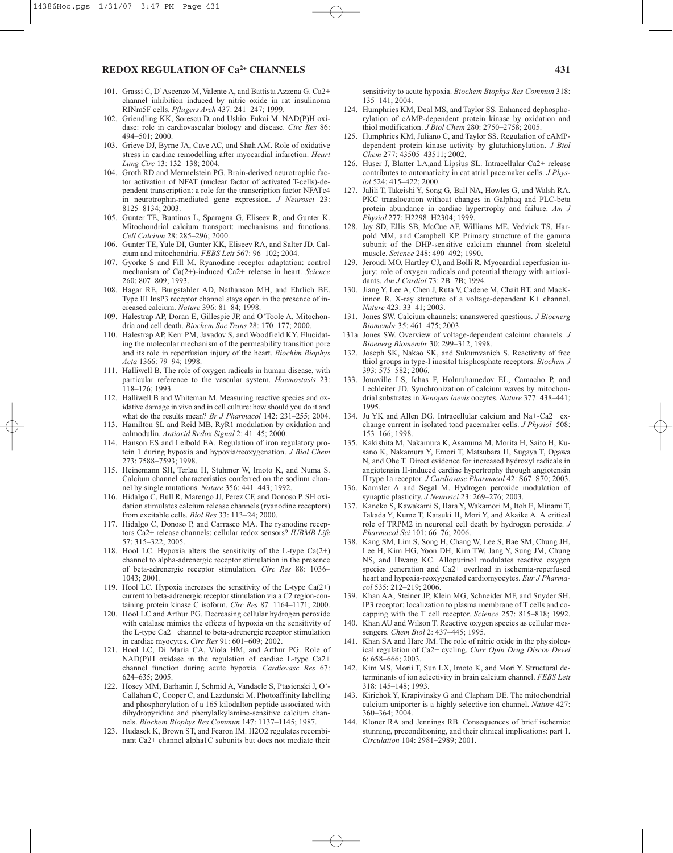#### **REDOX REGULATION OF Ca2+ CHANNELS 431**

- 101. Grassi C, D'Ascenzo M, Valente A, and Battista Azzena G. Ca2+ channel inhibition induced by nitric oxide in rat insulinoma RINm5F cells. *Pflugers Arch* 437: 241–247; 1999.
- 102. Griendling KK, Sorescu D, and Ushio–Fukai M. NAD(P)H oxidase: role in cardiovascular biology and disease. *Circ Res* 86: 494–501; 2000.
- 103. Grieve DJ, Byrne JA, Cave AC, and Shah AM. Role of oxidative stress in cardiac remodelling after myocardial infarction. *Heart Lung Circ* 13: 132–138; 2004.
- 104. Groth RD and Mermelstein PG. Brain-derived neurotrophic factor activation of NFAT (nuclear factor of activated T-cells)-dependent transcription: a role for the transcription factor NFATc4 in neurotrophin-mediated gene expression. *J Neurosci* 23: 8125–8134; 2003.
- 105. Gunter TE, Buntinas L, Sparagna G, Eliseev R, and Gunter K. Mitochondrial calcium transport: mechanisms and functions. *Cell Calcium* 28: 285–296; 2000.
- 106. Gunter TE, Yule DI, Gunter KK, Eliseev RA, and Salter JD. Calcium and mitochondria. *FEBS Lett* 567: 96–102; 2004.
- 107. Gyorke S and Fill M. Ryanodine receptor adaptation: control mechanism of Ca(2+)-induced Ca2+ release in heart. *Science* 260: 807–809; 1993.
- 108. Hagar RE, Burgstahler AD, Nathanson MH, and Ehrlich BE. Type III InsP3 receptor channel stays open in the presence of increased calcium. *Nature* 396: 81–84; 1998.
- 109. Halestrap AP, Doran E, Gillespie JP, and O'Toole A. Mitochondria and cell death. *Biochem Soc Trans* 28: 170–177; 2000.
- 110. Halestrap AP, Kerr PM, Javadov S, and Woodfield KY. Elucidating the molecular mechanism of the permeability transition pore and its role in reperfusion injury of the heart. *Biochim Biophys Acta* 1366: 79–94; 1998.
- 111. Halliwell B. The role of oxygen radicals in human disease, with particular reference to the vascular system. *Haemostasis* 23:  $118 - 126 \cdot 1993$
- 112. Halliwell B and Whiteman M. Measuring reactive species and oxidative damage in vivo and in cell culture: how should you do it and what do the results mean? *Br J Pharmacol* 142: 231–255; 2004.
- 113. Hamilton SL and Reid MB. RyR1 modulation by oxidation and calmodulin. *Antioxid Redox Signal* 2: 41–45; 2000.
- 114. Hanson ES and Leibold EA. Regulation of iron regulatory protein 1 during hypoxia and hypoxia/reoxygenation. *J Biol Chem* 273: 7588–7593; 1998.
- 115. Heinemann SH, Terlau H, Stuhmer W, Imoto K, and Numa S. Calcium channel characteristics conferred on the sodium channel by single mutations. *Nature* 356: 441–443; 1992.
- 116. Hidalgo C, Bull R, Marengo JJ, Perez CF, and Donoso P. SH oxidation stimulates calcium release channels (ryanodine receptors) from excitable cells. *Biol Res* 33: 113–24; 2000.
- 117. Hidalgo C, Donoso P, and Carrasco MA. The ryanodine receptors Ca2+ release channels: cellular redox sensors? *IUBMB Life* 57: 315–322; 2005.
- 118. Hool LC. Hypoxia alters the sensitivity of the L-type  $Ca(2+)$ channel to alpha-adrenergic receptor stimulation in the presence of beta-adrenergic receptor stimulation. *Circ Res* 88: 1036– 1043; 2001.
- 119. Hool LC. Hypoxia increases the sensitivity of the L-type  $Ca(2+)$ current to beta-adrenergic receptor stimulation via a C2 region-containing protein kinase C isoform. *Circ Res* 87: 1164–1171; 2000.
- 120. Hool LC and Arthur PG. Decreasing cellular hydrogen peroxide with catalase mimics the effects of hypoxia on the sensitivity of the L-type Ca2+ channel to beta-adrenergic receptor stimulation in cardiac myocytes. *Circ Res* 91: 601–609; 2002.
- 121. Hool LC, Di Maria CA, Viola HM, and Arthur PG. Role of NAD(P)H oxidase in the regulation of cardiac L-type Ca2+ channel function during acute hypoxia. *Cardiovasc Res* 67: 624–635; 2005.
- 122. Hosey MM, Barhanin J, Schmid A, Vandaele S, Ptasienski J, O'- Callahan C, Cooper C, and Lazdunski M. Photoaffinity labelling and phosphorylation of a 165 kilodalton peptide associated with dihydropyridine and phenylalkylamine-sensitive calcium channels. *Biochem Biophys Res Commun* 147: 1137–1145; 1987.
- 123. Hudasek K, Brown ST, and Fearon IM. H2O2 regulates recombinant Ca2+ channel alpha1C subunits but does not mediate their

sensitivity to acute hypoxia. *Biochem Biophys Res Commun* 318: 135–141; 2004.

- 124. Humphries KM, Deal MS, and Taylor SS. Enhanced dephosphorylation of cAMP-dependent protein kinase by oxidation and thiol modification. *J Biol Chem* 280: 2750–2758; 2005.
- 125. Humphries KM, Juliano C, and Taylor SS. Regulation of cAMPdependent protein kinase activity by glutathionylation. *J Biol Chem* 277: 43505–43511; 2002.
- 126. Huser J, Blatter LA,and Lipsius SL. Intracellular Ca2+ release contributes to automaticity in cat atrial pacemaker cells. *J Physiol* 524: 415–422; 2000.
- 127. Jalili T, Takeishi Y, Song G, Ball NA, Howles G, and Walsh RA. PKC translocation without changes in Galphaq and PLC-beta protein abundance in cardiac hypertrophy and failure. *Am J Physiol* 277: H2298–H2304; 1999.
- 128. Jay SD, Ellis SB, McCue AF, Williams ME, Vedvick TS, Harpold MM, and Campbell KP. Primary structure of the gamma subunit of the DHP-sensitive calcium channel from skeletal muscle. *Science* 248: 490–492; 1990.
- 129. Jeroudi MO, Hartley CJ, and Bolli R. Myocardial reperfusion injury: role of oxygen radicals and potential therapy with antioxidants. *Am J Cardiol* 73: 2B–7B; 1994.
- 130. Jiang Y, Lee A, Chen J, Ruta V, Cadene M, Chait BT, and MacKinnon R. X-ray structure of a voltage-dependent K+ channel. *Nature* 423: 33–41; 2003.
- 131. Jones SW. Calcium channels: unanswered questions. *J Bioenerg Biomembr* 35: 461–475; 2003.
- 131a. Jones SW. Overview of voltage-dependent calcium channels. *J Bioenerg Biomembr* 30: 299–312, 1998.
- 132. Joseph SK, Nakao SK, and Sukumvanich S. Reactivity of free thiol groups in type-I inositol trisphosphate receptors. *Biochem J* 393: 575–582; 2006.
- 133. Jouaville LS, Ichas F, Holmuhamedov EL, Camacho P, and Lechleiter JD. Synchronization of calcium waves by mitochondrial substrates in *Xenopus laevis* oocytes. *Nature* 377: 438–441; 1995.
- 134. Ju YK and Allen DG. Intracellular calcium and Na+-Ca2+ exchange current in isolated toad pacemaker cells. *J Physiol* 508: 153–166; 1998.
- 135. Kakishita M, Nakamura K, Asanuma M, Morita H, Saito H, Kusano K, Nakamura Y, Emori T, Matsubara H, Sugaya T, Ogawa N, and Ohe T. Direct evidence for increased hydroxyl radicals in angiotensin II-induced cardiac hypertrophy through angiotensin II type 1a receptor. *J Cardiovasc Pharmacol* 42: S67–S70; 2003.
- 136. Kamsler A and Segal M. Hydrogen peroxide modulation of synaptic plasticity. *J Neurosci* 23: 269–276; 2003.
- 137. Kaneko S, Kawakami S, Hara Y, Wakamori M, Itoh E, Minami T, Takada Y, Kume T, Katsuki H, Mori Y, and Akaike A. A critical role of TRPM2 in neuronal cell death by hydrogen peroxide. *J Pharmacol Sci* 101: 66–76; 2006.
- 138. Kang SM, Lim S, Song H, Chang W, Lee S, Bae SM, Chung JH, Lee H, Kim HG, Yoon DH, Kim TW, Jang Y, Sung JM, Chung NS, and Hwang KC. Allopurinol modulates reactive oxygen species generation and Ca2+ overload in ischemia-reperfused heart and hypoxia-reoxygenated cardiomyocytes. *Eur J Pharmacol* 535: 212–219; 2006.
- 139. Khan AA, Steiner JP, Klein MG, Schneider MF, and Snyder SH. IP3 receptor: localization to plasma membrane of T cells and cocapping with the T cell receptor. *Science* 257: 815–818; 1992.
- 140. Khan AU and Wilson T. Reactive oxygen species as cellular messengers. *Chem Biol* 2: 437–445; 1995.
- 141. Khan SA and Hare JM. The role of nitric oxide in the physiological regulation of Ca2+ cycling. *Curr Opin Drug Discov Devel* 6: 658–666; 2003.
- 142. Kim MS, Morii T, Sun LX, Imoto K, and Mori Y. Structural determinants of ion selectivity in brain calcium channel. *FEBS Lett* 318: 145–148; 1993.
- 143. Kirichok Y, Krapivinsky G and Clapham DE. The mitochondrial calcium uniporter is a highly selective ion channel. *Nature* 427:  $360 - 364 \cdot 2004$
- 144. Kloner RA and Jennings RB. Consequences of brief ischemia: stunning, preconditioning, and their clinical implications: part 1. *Circulation* 104: 2981–2989; 2001.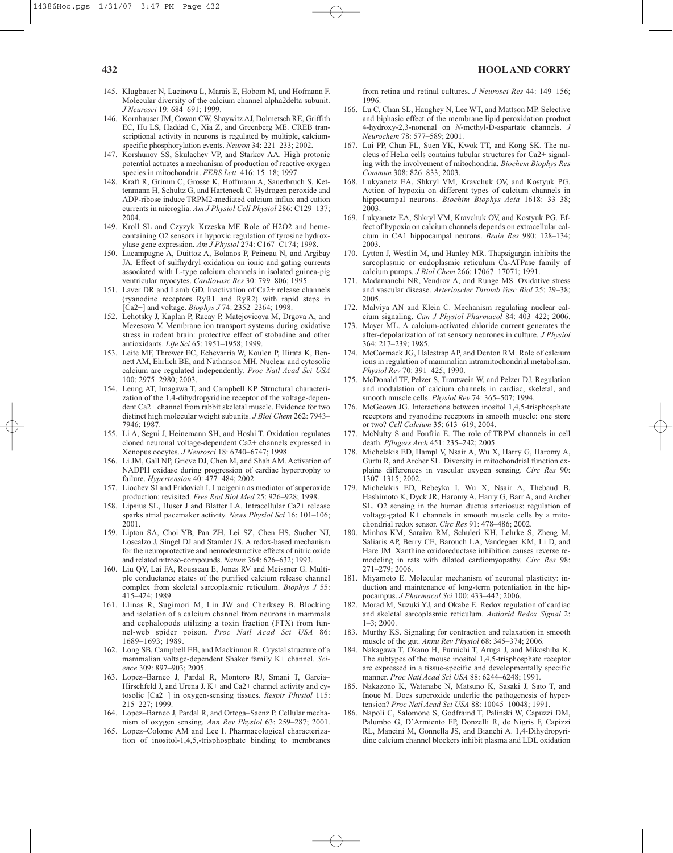- 145. Klugbauer N, Lacinova L, Marais E, Hobom M, and Hofmann F. Molecular diversity of the calcium channel alpha2delta subunit. *J Neurosci* 19: 684–691; 1999.
- 146. Kornhauser JM, Cowan CW, Shaywitz AJ, Dolmetsch RE, Griffith EC, Hu LS, Haddad C, Xia Z, and Greenberg ME. CREB transcriptional activity in neurons is regulated by multiple, calciumspecific phosphorylation events. *Neuron* 34: 221–233; 2002.
- 147. Korshunov SS, Skulachev VP, and Starkov AA. High protonic potential actuates a mechanism of production of reactive oxygen species in mitochondria. *FEBS Lett* 416: 15–18; 1997.
- 148. Kraft R, Grimm C, Grosse K, Hoffmann A, Sauerbruch S, Kettenmann H, Schultz G, and Harteneck C. Hydrogen peroxide and ADP-ribose induce TRPM2-mediated calcium influx and cation currents in microglia. *Am J Physiol Cell Physiol* 286: C129–137; 2004.
- 149. Kroll SL and Czyzyk–Krzeska MF. Role of H2O2 and hemecontaining O2 sensors in hypoxic regulation of tyrosine hydroxylase gene expression. *Am J Physiol* 274: C167–C174; 1998.
- 150. Lacampagne A, Duittoz A, Bolanos P, Peineau N, and Argibay JA. Effect of sulfhydryl oxidation on ionic and gating currents associated with L-type calcium channels in isolated guinea-pig ventricular myocytes. *Cardiovasc Res* 30: 799–806; 1995.
- 151. Laver DR and Lamb GD. Inactivation of Ca2+ release channels (ryanodine receptors RyR1 and RyR2) with rapid steps in [Ca2+] and voltage. *Biophys J* 74: 2352–2364; 1998.
- 152. Lehotsky J, Kaplan P, Racay P, Matejovicova M, Drgova A, and Mezesova V. Membrane ion transport systems during oxidative stress in rodent brain: protective effect of stobadine and other antioxidants. *Life Sci* 65: 1951–1958; 1999.
- 153. Leite MF, Thrower EC, Echevarria W, Koulen P, Hirata K, Bennett AM, Ehrlich BE, and Nathanson MH. Nuclear and cytosolic calcium are regulated independently. *Proc Natl Acad Sci USA* 100: 2975–2980; 2003.
- 154. Leung AT, Imagawa T, and Campbell KP. Structural characterization of the 1,4-dihydropyridine receptor of the voltage-dependent Ca2+ channel from rabbit skeletal muscle. Evidence for two distinct high molecular weight subunits. *J Biol Chem* 262: 7943– 7946; 1987.
- 155. Li A, Segui J, Heinemann SH, and Hoshi T. Oxidation regulates cloned neuronal voltage-dependent Ca2+ channels expressed in Xenopus oocytes. *J Neurosci* 18: 6740–6747; 1998.
- 156. Li JM, Gall NP, Grieve DJ, Chen M, and Shah AM. Activation of NADPH oxidase during progression of cardiac hypertrophy to failure. *Hypertension* 40: 477–484; 2002.
- 157. Liochev SI and Fridovich I. Lucigenin as mediator of superoxide production: revisited. *Free Rad Biol Med* 25: 926–928; 1998.
- 158. Lipsius SL, Huser J and Blatter LA. Intracellular Ca2+ release sparks atrial pacemaker activity. *News Physiol Sci* 16: 101–106; 2001.
- 159. Lipton SA, Choi YB, Pan ZH, Lei SZ, Chen HS, Sucher NJ, Loscalzo J, Singel DJ and Stamler JS. A redox-based mechanism for the neuroprotective and neurodestructive effects of nitric oxide and related nitroso-compounds. *Nature* 364: 626–632; 1993.
- 160. Liu QY, Lai FA, Rousseau E, Jones RV and Meissner G. Multiple conductance states of the purified calcium release channel complex from skeletal sarcoplasmic reticulum. *Biophys J* 55: 415–424; 1989.
- 161. Llinas R, Sugimori M, Lin JW and Cherksey B. Blocking and isolation of a calcium channel from neurons in mammals and cephalopods utilizing a toxin fraction (FTX) from funnel-web spider poison. *Proc Natl Acad Sci USA* 86: 1689–1693; 1989.
- 162. Long SB, Campbell EB, and Mackinnon R. Crystal structure of a mammalian voltage-dependent Shaker family K+ channel. *Science* 309: 897–903; 2005.
- 163. Lopez–Barneo J, Pardal R, Montoro RJ, Smani T, Garcia– Hirschfeld J, and Urena J. K+ and Ca2+ channel activity and cytosolic [Ca2+] in oxygen-sensing tissues. *Respir Physiol* 115: 215–227; 1999.
- 164. Lopez–Barneo J, Pardal R, and Ortega–Saenz P. Cellular mechanism of oxygen sensing. *Ann Rev Physiol* 63: 259–287; 2001.
- 165. Lopez–Colome AM and Lee I. Pharmacological characterization of inositol-1,4,5,-trisphosphate binding to membranes

from retina and retinal cultures. *J Neurosci Res* 44: 149–156; 1996.

- 166. Lu C, Chan SL, Haughey N, Lee WT, and Mattson MP. Selective and biphasic effect of the membrane lipid peroxidation product 4-hydroxy-2,3-nonenal on *N*-methyl-D-aspartate channels. *J Neurochem* 78: 577–589; 2001.
- 167. Lui PP, Chan FL, Suen YK, Kwok TT, and Kong SK. The nucleus of HeLa cells contains tubular structures for Ca2+ signaling with the involvement of mitochondria. *Biochem Biophys Res Commun* 308: 826–833; 2003.
- 168. Lukyanetz EA, Shkryl VM, Kravchuk OV, and Kostyuk PG. Action of hypoxia on different types of calcium channels in hippocampal neurons. *Biochim Biophys Acta* 1618: 33–38; 2003.
- 169. Lukyanetz EA, Shkryl VM, Kravchuk OV, and Kostyuk PG. Effect of hypoxia on calcium channels depends on extracellular calcium in CA1 hippocampal neurons. *Brain Res* 980: 128–134; 2003.
- 170. Lytton J, Westlin M, and Hanley MR. Thapsigargin inhibits the sarcoplasmic or endoplasmic reticulum Ca-ATPase family of calcium pumps. *J Biol Chem* 266: 17067–17071; 1991.
- 171. Madamanchi NR, Vendrov A, and Runge MS. Oxidative stress and vascular disease. *Arterioscler Thromb Vasc Biol* 25: 29–38; 2005.
- 172. Malviya AN and Klein C. Mechanism regulating nuclear calcium signaling. *Can J Physiol Pharmacol* 84: 403–422; 2006.
- 173. Mayer ML. A calcium-activated chloride current generates the after-depolarization of rat sensory neurones in culture. *J Physiol* 364: 217–239; 1985.
- 174. McCormack JG, Halestrap AP, and Denton RM. Role of calcium ions in regulation of mammalian intramitochondrial metabolism. *Physiol Rev* 70: 391–425; 1990.
- 175. McDonald TF, Pelzer S, Trautwein W, and Pelzer DJ. Regulation and modulation of calcium channels in cardiac, skeletal, and smooth muscle cells. *Physiol Rev* 74: 365–507; 1994.
- 176. McGeown JG. Interactions between inositol 1,4,5-trisphosphate receptors and ryanodine receptors in smooth muscle: one store or two? *Cell Calcium* 35: 613–619; 2004.
- 177. McNulty S and Fonfria E. The role of TRPM channels in cell death. *Pflugers Arch* 451: 235–242; 2005.
- 178. Michelakis ED, Hampl V, Nsair A, Wu X, Harry G, Haromy A, Gurtu R, and Archer SL. Diversity in mitochondrial function explains differences in vascular oxygen sensing. *Circ Res* 90: 1307–1315; 2002.
- 179. Michelakis ED, Rebeyka I, Wu X, Nsair A, Thebaud B, Hashimoto K, Dyck JR, Haromy A, Harry G, Barr A, and Archer SL. O2 sensing in the human ductus arteriosus: regulation of voltage-gated  $\bar{K}$ + channels in smooth muscle cells by a mitochondrial redox sensor. *Circ Res* 91: 478–486; 2002.
- 180. Minhas KM, Saraiva RM, Schuleri KH, Lehrke S, Zheng M, Saliaris AP, Berry CE, Barouch LA, Vandegaer KM, Li D, and Hare JM. Xanthine oxidoreductase inhibition causes reverse remodeling in rats with dilated cardiomyopathy. *Circ Res* 98: 271–279; 2006.
- 181. Miyamoto E. Molecular mechanism of neuronal plasticity: induction and maintenance of long-term potentiation in the hippocampus. *J Pharmacol Sci* 100: 433–442; 2006.
- 182. Morad M, Suzuki YJ, and Okabe E. Redox regulation of cardiac and skeletal sarcoplasmic reticulum. *Antioxid Redox Signal* 2: 1–3; 2000.
- 183. Murthy KS. Signaling for contraction and relaxation in smooth muscle of the gut. *Annu Rev Physiol* 68: 345–374; 2006.
- 184. Nakagawa T, Okano H, Furuichi T, Aruga J, and Mikoshiba K. The subtypes of the mouse inositol 1,4,5-trisphosphate receptor are expressed in a tissue-specific and developmentally specific manner. *Proc Natl Acad Sci USA* 88: 6244–6248; 1991.
- 185. Nakazono K, Watanabe N, Matsuno K, Sasaki J, Sato T, and Inoue M. Does superoxide underlie the pathogenesis of hypertension? *Proc Natl Acad Sci USA* 88: 10045–10048; 1991.
- 186. Napoli C, Salomone S, Godfraind T, Palinski W, Capuzzi DM, Palumbo G, D'Armiento FP, Donzelli R, de Nigris F, Capizzi RL, Mancini M, Gonnella JS, and Bianchi A. 1,4-Dihydropyridine calcium channel blockers inhibit plasma and LDL oxidation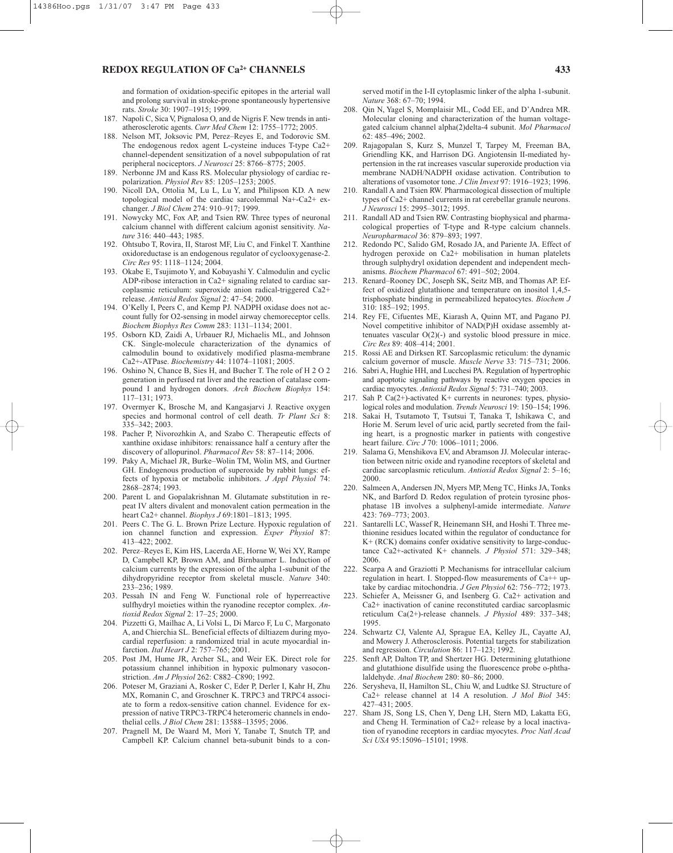and formation of oxidation-specific epitopes in the arterial wall and prolong survival in stroke-prone spontaneously hypertensive rats. *Stroke* 30: 1907–1915; 1999.

- 187. Napoli C, Sica V, Pignalosa O, and de Nigris F. New trends in antiatherosclerotic agents. *Curr Med Chem* 12: 1755–1772; 2005.
- 188. Nelson MT, Joksovic PM, Perez–Reyes E, and Todorovic SM. The endogenous redox agent L-cysteine induces T-type Ca2+ channel-dependent sensitization of a novel subpopulation of rat peripheral nociceptors. *J Neurosci* 25: 8766–8775; 2005.
- 189. Nerbonne JM and Kass RS. Molecular physiology of cardiac repolarization. *Physiol Rev* 85: 1205–1253; 2005.
- 190. Nicoll DA, Ottolia M, Lu L, Lu Y, and Philipson KD. A new topological model of the cardiac sarcolemmal Na+-Ca2+ exchanger. *J Biol Chem* 274: 910–917; 1999.
- 191. Nowycky MC, Fox AP, and Tsien RW. Three types of neuronal calcium channel with different calcium agonist sensitivity. *Nature* 316: 440–443; 1985.
- 192. Ohtsubo T, Rovira, II, Starost MF, Liu C, and Finkel T. Xanthine oxidoreductase is an endogenous regulator of cyclooxygenase-2. *Circ Res* 95: 1118–1124; 2004.
- 193. Okabe E, Tsujimoto Y, and Kobayashi Y. Calmodulin and cyclic ADP-ribose interaction in Ca2+ signaling related to cardiac sarcoplasmic reticulum: superoxide anion radical-triggered Ca2+ release. *Antioxid Redox Signal* 2: 47–54; 2000.
- 194. O'Kelly I, Peers C, and Kemp PJ. NADPH oxidase does not account fully for O2-sensing in model airway chemoreceptor cells. *Biochem Biophys Res Comm* 283: 1131–1134; 2001.
- 195. Osborn KD, Zaidi A, Urbauer RJ, Michaelis ML, and Johnson CK. Single-molecule characterization of the dynamics of calmodulin bound to oxidatively modified plasma-membrane Ca2+-ATPase. *Biochemistry* 44: 11074–11081; 2005.
- 196. Oshino N, Chance B, Sies H, and Bucher T. The role of H 2 O 2 generation in perfused rat liver and the reaction of catalase compound I and hydrogen donors. *Arch Biochem Biophys* 154: 117–131; 1973.
- 197. Overmyer K, Brosche M, and Kangasjarvi J. Reactive oxygen species and hormonal control of cell death. *Tr Plant Sci* 8: 335–342; 2003.
- 198. Pacher P, Nivorozhkin A, and Szabo C. Therapeutic effects of xanthine oxidase inhibitors: renaissance half a century after the discovery of allopurinol. *Pharmacol Rev* 58: 87–114; 2006.
- 199. Paky A, Michael JR, Burke–Wolin TM, Wolin MS, and Gurtner GH. Endogenous production of superoxide by rabbit lungs: effects of hypoxia or metabolic inhibitors. *J Appl Physiol* 74: 2868–2874; 1993.
- 200. Parent L and Gopalakrishnan M. Glutamate substitution in repeat IV alters divalent and monovalent cation permeation in the heart Ca2+ channel. *Biophys J* 69:1801–1813; 1995.
- 201. Peers C. The G. L. Brown Prize Lecture. Hypoxic regulation of ion channel function and expression. *Exper Physiol* 87: 413–422; 2002.
- 202. Perez–Reyes E, Kim HS, Lacerda AE, Horne W, Wei XY, Rampe D, Campbell KP, Brown AM, and Birnbaumer L. Induction of calcium currents by the expression of the alpha 1-subunit of the dihydropyridine receptor from skeletal muscle. *Nature* 340: 233–236; 1989.
- 203. Pessah IN and Feng W. Functional role of hyperreactive sulfhydryl moieties within the ryanodine receptor complex. *Antioxid Redox Signal* 2: 17–25; 2000.
- 204. Pizzetti G, Mailhac A, Li Volsi L, Di Marco F, Lu C, Margonato A, and Chierchia SL. Beneficial effects of diltiazem during myocardial reperfusion: a randomized trial in acute myocardial infarction. *Ital Heart J* 2: 757–765; 2001.
- 205. Post JM, Hume JR, Archer SL, and Weir EK. Direct role for potassium channel inhibition in hypoxic pulmonary vasoconstriction. *Am J Physiol* 262: C882–C890; 1992.
- 206. Poteser M, Graziani A, Rosker C, Eder P, Derler I, Kahr H, Zhu MX, Romanin C, and Groschner K. TRPC3 and TRPC4 associate to form a redox-sensitive cation channel. Evidence for expression of native TRPC3-TRPC4 heteromeric channels in endothelial cells. *J Biol Chem* 281: 13588–13595; 2006.
- 207. Pragnell M, De Waard M, Mori Y, Tanabe T, Snutch TP, and Campbell KP. Calcium channel beta-subunit binds to a con-

served motif in the I-II cytoplasmic linker of the alpha 1-subunit. *Nature* 368: 67–70; 1994.

- 208. Qin N, Yagel S, Momplaisir ML, Codd EE, and D'Andrea MR. Molecular cloning and characterization of the human voltagegated calcium channel alpha(2)delta-4 subunit. *Mol Pharmacol* 62: 485–496; 2002.
- 209. Rajagopalan S, Kurz S, Munzel T, Tarpey M, Freeman BA, Griendling KK, and Harrison DG. Angiotensin II-mediated hypertension in the rat increases vascular superoxide production via membrane NADH/NADPH oxidase activation. Contribution to alterations of vasomotor tone. *J Clin Invest* 97: 1916–1923; 1996.
- 210. Randall A and Tsien RW. Pharmacological dissection of multiple types of Ca2+ channel currents in rat cerebellar granule neurons. *J Neurosci* 15: 2995–3012; 1995.
- 211. Randall AD and Tsien RW. Contrasting biophysical and pharmacological properties of T-type and R-type calcium channels. *Neuropharmacol* 36: 879–893; 1997.
- 212. Redondo PC, Salido GM, Rosado JA, and Pariente JA. Effect of hydrogen peroxide on Ca2+ mobilisation in human platelets through sulphydryl oxidation dependent and independent mechanisms. *Biochem Pharmacol* 67: 491–502; 2004.
- 213. Renard–Rooney DC, Joseph SK, Seitz MB, and Thomas AP. Effect of oxidized glutathione and temperature on inositol 1,4,5 trisphosphate binding in permeabilized hepatocytes. *Biochem J* 310: 185–192; 1995.
- 214. Rey FE, Cifuentes ME, Kiarash A, Quinn MT, and Pagano PJ. Novel competitive inhibitor of NAD(P)H oxidase assembly attenuates vascular O(2)(-) and systolic blood pressure in mice. *Circ Res* 89: 408–414; 2001.
- 215. Rossi AE and Dirksen RT. Sarcoplasmic reticulum: the dynamic calcium governor of muscle. *Muscle Nerve* 33: 715–731; 2006.
- 216. Sabri A, Hughie HH, and Lucchesi PA. Regulation of hypertrophic and apoptotic signaling pathways by reactive oxygen species in cardiac myocytes. *Antioxid Redox Signal* 5: 731–740; 2003.
- 217. Sah P. Ca(2+)-activated K+ currents in neurones: types, physiological roles and modulation. *Trends Neurosci* 19: 150–154; 1996.
- 218. Sakai H, Tsutamoto T, Tsutsui T, Tanaka T, Ishikawa C, and Horie M. Serum level of uric acid, partly secreted from the failing heart, is a prognostic marker in patients with congestive heart failure. *Circ J* 70: 1006–1011; 2006.
- 219. Salama G, Menshikova EV, and Abramson JJ. Molecular interaction between nitric oxide and ryanodine receptors of skeletal and cardiac sarcoplasmic reticulum. *Antioxid Redox Signal* 2: 5–16; 2000.
- 220. Salmeen A, Andersen JN, Myers MP, Meng TC, Hinks JA, Tonks NK, and Barford D. Redox regulation of protein tyrosine phosphatase 1B involves a sulphenyl-amide intermediate. *Nature* 423: 769–773; 2003.
- 221. Santarelli LC, Wassef R, Heinemann SH, and Hoshi T. Three methionine residues located within the regulator of conductance for K+ (RCK) domains confer oxidative sensitivity to large-conductance Ca2+-activated K+ channels. *J Physiol* 571: 329–348; 2006.
- 222. Scarpa A and Graziotti P. Mechanisms for intracellular calcium regulation in heart. I. Stopped-flow measurements of Ca++ uptake by cardiac mitochondria. *J Gen Physiol* 62: 756–772; 1973.
- 223. Schiefer A, Meissner G, and Isenberg G. Ca2+ activation and Ca2+ inactivation of canine reconstituted cardiac sarcoplasmic reticulum Ca(2+)-release channels. *J Physiol* 489: 337–348; 1995.
- 224. Schwartz CJ, Valente AJ, Sprague EA, Kelley JL, Cayatte AJ, and Mowery J. Atherosclerosis. Potential targets for stabilization and regression. *Circulation* 86: 117–123; 1992.
- 225. Senft AP, Dalton TP, and Shertzer HG. Determining glutathione and glutathione disulfide using the fluorescence probe o-phthalaldehyde. *Anal Biochem* 280: 80–86; 2000.
- 226. Serysheva, II, Hamilton SL, Chiu W, and Ludtke SJ. Structure of Ca2+ release channel at 14 A resolution. *J Mol Biol* 345: 427–431; 2005.
- 227. Sham JS, Song LS, Chen Y, Deng LH, Stern MD, Lakatta EG, and Cheng H. Termination of Ca2+ release by a local inactivation of ryanodine receptors in cardiac myocytes. *Proc Natl Acad Sci USA* 95:15096–15101; 1998.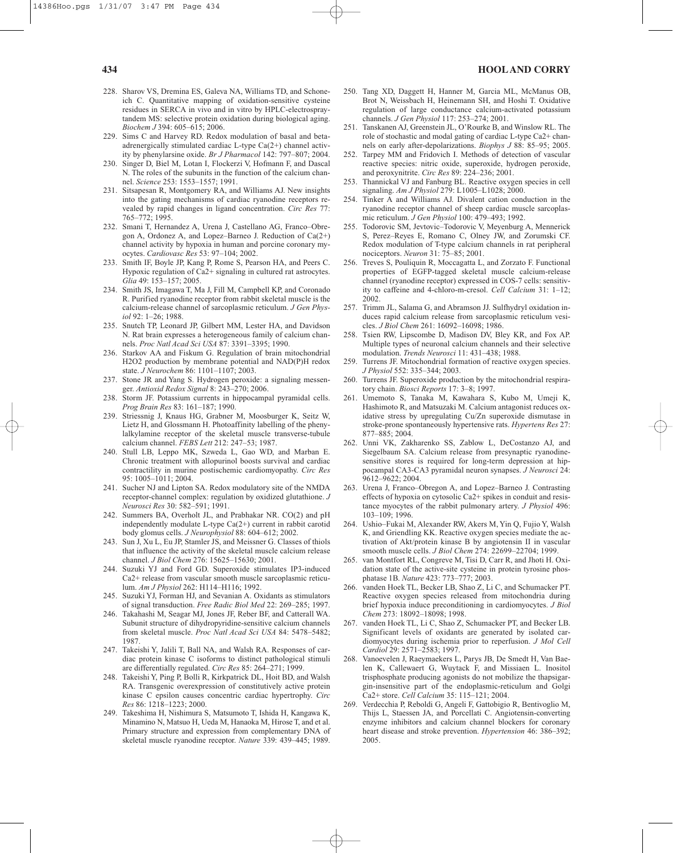- 228. Sharov VS, Dremina ES, Galeva NA, Williams TD, and Schoneich C. Quantitative mapping of oxidation-sensitive cysteine residues in SERCA in vivo and in vitro by HPLC-electrospraytandem MS: selective protein oxidation during biological aging. *Biochem J* 394: 605–615; 2006.
- 229. Sims C and Harvey RD. Redox modulation of basal and betaadrenergically stimulated cardiac L-type Ca(2+) channel activity by phenylarsine oxide. *Br J Pharmacol* 142: 797–807; 2004.
- 230. Singer D, Biel M, Lotan I, Flockerzi V, Hofmann F, and Dascal N. The roles of the subunits in the function of the calcium channel. *Science* 253: 1553–1557; 1991.
- 231. Sitsapesan R, Montgomery RA, and Williams AJ. New insights into the gating mechanisms of cardiac ryanodine receptors revealed by rapid changes in ligand concentration. *Circ Res* 77: 765–772; 1995.
- 232. Smani T, Hernandez A, Urena J, Castellano AG, Franco–Obregon A, Ordonez A, and Lopez–Barneo J. Reduction of Ca(2+) channel activity by hypoxia in human and porcine coronary myocytes. *Cardiovasc Res* 53: 97–104; 2002.
- 233. Smith IF, Boyle JP, Kang P, Rome S, Pearson HA, and Peers C. Hypoxic regulation of Ca2+ signaling in cultured rat astrocytes. *Glia* 49: 153–157; 2005.
- 234. Smith JS, Imagawa T, Ma J, Fill M, Campbell KP, and Coronado R. Purified ryanodine receptor from rabbit skeletal muscle is the calcium-release channel of sarcoplasmic reticulum. *J Gen Physiol* 92: 1–26; 1988.
- 235. Snutch TP, Leonard JP, Gilbert MM, Lester HA, and Davidson N. Rat brain expresses a heterogeneous family of calcium channels. *Proc Natl Acad Sci USA* 87: 3391–3395; 1990.
- 236. Starkov AA and Fiskum G. Regulation of brain mitochondrial H2O2 production by membrane potential and NAD(P)H redox state. *J Neurochem* 86: 1101–1107; 2003.
- 237. Stone JR and Yang S. Hydrogen peroxide: a signaling messenger. *Antioxid Redox Signal* 8: 243–270; 2006.
- 238. Storm JF. Potassium currents in hippocampal pyramidal cells. *Prog Brain Res* 83: 161–187; 1990.
- 239. Striessnig J, Knaus HG, Grabner M, Moosburger K, Seitz W, Lietz H, and Glossmann H. Photoaffinity labelling of the phenylalkylamine receptor of the skeletal muscle transverse-tubule calcium channel. *FEBS Lett* 212: 247–53; 1987.
- 240. Stull LB, Leppo MK, Szweda L, Gao WD, and Marban E. Chronic treatment with allopurinol boosts survival and cardiac contractility in murine postischemic cardiomyopathy. *Circ Res* 95: 1005–1011; 2004.
- 241. Sucher NJ and Lipton SA. Redox modulatory site of the NMDA receptor-channel complex: regulation by oxidized glutathione. *J Neurosci Res* 30: 582–591; 1991.
- 242. Summers BA, Overholt JL, and Prabhakar NR. CO(2) and pH independently modulate L-type Ca(2+) current in rabbit carotid body glomus cells. *J Neurophysiol* 88: 604–612; 2002.
- 243. Sun J, Xu L, Eu JP, Stamler JS, and Meissner G. Classes of thiols that influence the activity of the skeletal muscle calcium release channel. *J Biol Chem* 276: 15625–15630; 2001.
- 244. Suzuki YJ and Ford GD. Superoxide stimulates IP3-induced Ca2+ release from vascular smooth muscle sarcoplasmic reticulum. *Am J Physiol* 262: H114–H116; 1992.
- 245. Suzuki YJ, Forman HJ, and Sevanian A. Oxidants as stimulators of signal transduction. *Free Radic Biol Med* 22: 269–285; 1997.
- 246. Takahashi M, Seagar MJ, Jones JF, Reber BF, and Catterall WA. Subunit structure of dihydropyridine-sensitive calcium channels from skeletal muscle. *Proc Natl Acad Sci USA* 84: 5478–5482; 1987.
- 247. Takeishi Y, Jalili T, Ball NA, and Walsh RA. Responses of cardiac protein kinase C isoforms to distinct pathological stimuli are differentially regulated. *Circ Res* 85: 264–271; 1999.
- 248. Takeishi Y, Ping P, Bolli R, Kirkpatrick DL, Hoit BD, and Walsh RA. Transgenic overexpression of constitutively active protein kinase C epsilon causes concentric cardiac hypertrophy. *Circ Res* 86: 1218–1223; 2000.
- 249. Takeshima H, Nishimura S, Matsumoto T, Ishida H, Kangawa K, Minamino N, Matsuo H, Ueda M, Hanaoka M, Hirose T, and et al. Primary structure and expression from complementary DNA of skeletal muscle ryanodine receptor. *Nature* 339: 439–445; 1989.
- 250. Tang XD, Daggett H, Hanner M, Garcia ML, McManus OB, Brot N, Weissbach H, Heinemann SH, and Hoshi T. Oxidative regulation of large conductance calcium-activated potassium channels. *J Gen Physiol* 117: 253–274; 2001.
- 251. Tanskanen AJ, Greenstein JL, O'Rourke B, and Winslow RL. The role of stochastic and modal gating of cardiac L-type Ca2+ channels on early after-depolarizations. *Biophys J* 88: 85–95; 2005.
- 252. Tarpey MM and Fridovich I. Methods of detection of vascular reactive species: nitric oxide, superoxide, hydrogen peroxide, and peroxynitrite. *Circ Res* 89: 224–236; 2001.
- 253. Thannickal VJ and Fanburg BL. Reactive oxygen species in cell signaling. *Am J Physiol* 279: L1005–L1028; 2000.
- 254. Tinker A and Williams AJ. Divalent cation conduction in the ryanodine receptor channel of sheep cardiac muscle sarcoplasmic reticulum. *J Gen Physiol* 100: 479–493; 1992.
- 255. Todorovic SM, Jevtovic–Todorovic V, Meyenburg A, Mennerick S, Perez–Reyes E, Romano C, Olney JW, and Zorumski CF. Redox modulation of T-type calcium channels in rat peripheral nociceptors. *Neuron* 31: 75–85; 2001.
- 256. Treves S, Pouliquin R, Moccagatta L, and Zorzato F. Functional properties of EGFP-tagged skeletal muscle calcium-release channel (ryanodine receptor) expressed in COS-7 cells: sensitivity to caffeine and 4-chloro-m-cresol. *Cell Calcium* 31: 1–12; 2002.
- 257. Trimm JL, Salama G, and Abramson JJ. Sulfhydryl oxidation induces rapid calcium release from sarcoplasmic reticulum vesicles. *J Biol Chem* 261: 16092–16098; 1986.
- Tsien RW, Lipscombe D, Madison DV, Bley KR, and Fox AP. Multiple types of neuronal calcium channels and their selective modulation. *Trends Neurosci* 11: 431–438; 1988.
- 259. Turrens JF. Mitochondrial formation of reactive oxygen species. *J Physiol* 552: 335–344; 2003.
- 260. Turrens JF. Superoxide production by the mitochondrial respiratory chain. *Biosci Reports* 17: 3–8; 1997.
- 261. Umemoto S, Tanaka M, Kawahara S, Kubo M, Umeji K, Hashimoto R, and Matsuzaki M. Calcium antagonist reduces oxidative stress by upregulating Cu/Zn superoxide dismutase in stroke-prone spontaneously hypertensive rats. *Hypertens Res* 27: 877–885; 2004.
- 262. Unni VK, Zakharenko SS, Zablow L, DeCostanzo AJ, and Siegelbaum SA. Calcium release from presynaptic ryanodinesensitive stores is required for long-term depression at hippocampal CA3-CA3 pyramidal neuron synapses. *J Neurosci* 24: 9612–9622; 2004.
- 263. Urena J, Franco–Obregon A, and Lopez–Barneo J. Contrasting effects of hypoxia on cytosolic Ca2+ spikes in conduit and resistance myocytes of the rabbit pulmonary artery. *J Physiol* 496: 103–109; 1996.
- 264. Ushio–Fukai M, Alexander RW, Akers M, Yin Q, Fujio Y, Walsh K, and Griendling KK. Reactive oxygen species mediate the activation of Akt/protein kinase B by angiotensin II in vascular smooth muscle cells. *J Biol Chem* 274: 22699–22704; 1999.
- 265. van Montfort RL, Congreve M, Tisi D, Carr R, and Jhoti H. Oxidation state of the active-site cysteine in protein tyrosine phosphatase 1B. *Nature* 423: 773–777; 2003.
- 266. vanden Hoek TL, Becker LB, Shao Z, Li C, and Schumacker PT. Reactive oxygen species released from mitochondria during brief hypoxia induce preconditioning in cardiomyocytes. *J Biol Chem* 273: 18092–18098; 1998.
- 267. vanden Hoek TL, Li C, Shao Z, Schumacker PT, and Becker LB. Significant levels of oxidants are generated by isolated cardiomyocytes during ischemia prior to reperfusion. *J Mol Cell Cardiol* 29: 2571–2583; 1997.
- 268. Vanoevelen J, Raeymaekers L, Parys JB, De Smedt H, Van Baelen K, Callewaert G, Wuytack F, and Missiaen L. Inositol trisphosphate producing agonists do not mobilize the thapsigargin-insensitive part of the endoplasmic-reticulum and Golgi Ca2+ store. *Cell Calcium* 35: 115–121; 2004.
- 269. Verdecchia P, Reboldi G, Angeli F, Gattobigio R, Bentivoglio M, Thijs L, Staessen JA, and Porcellati C. Angiotensin-converting enzyme inhibitors and calcium channel blockers for coronary heart disease and stroke prevention. *Hypertension* 46: 386–392; 2005.